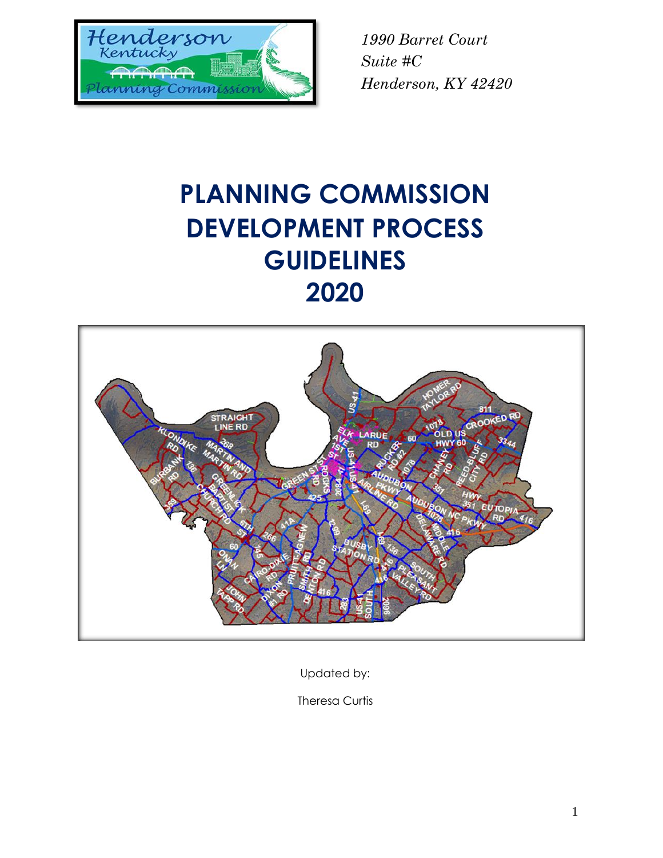

# **PLANNING COMMISSION DEVELOPMENT PROCESS GUIDELINES 2020**



Updated by:

Theresa Curtis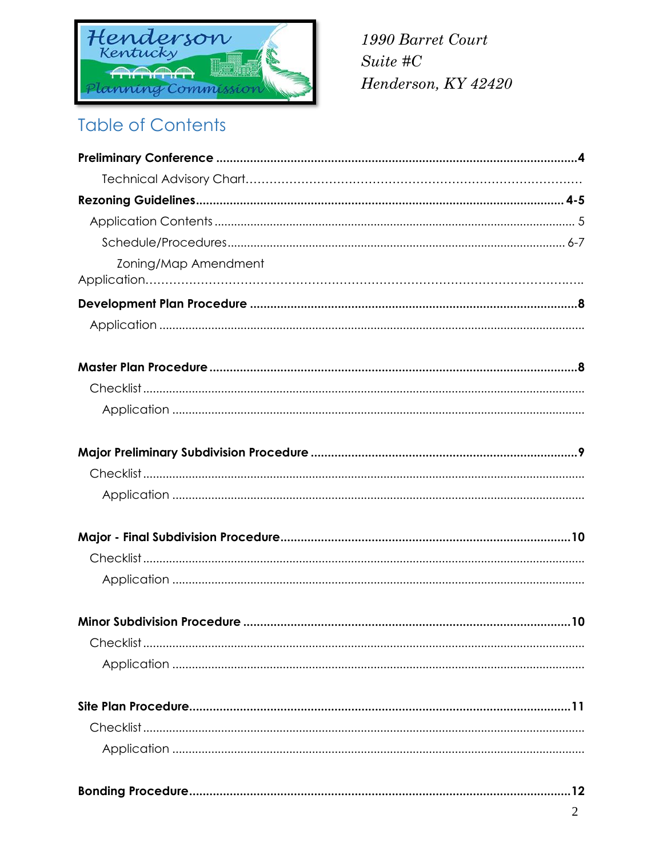

## **Table of Contents**

| Zoning/Map Amendment |
|----------------------|
|                      |
|                      |
|                      |
|                      |
|                      |
|                      |
|                      |
|                      |
|                      |
|                      |
|                      |
|                      |
|                      |
|                      |
|                      |
|                      |
|                      |
|                      |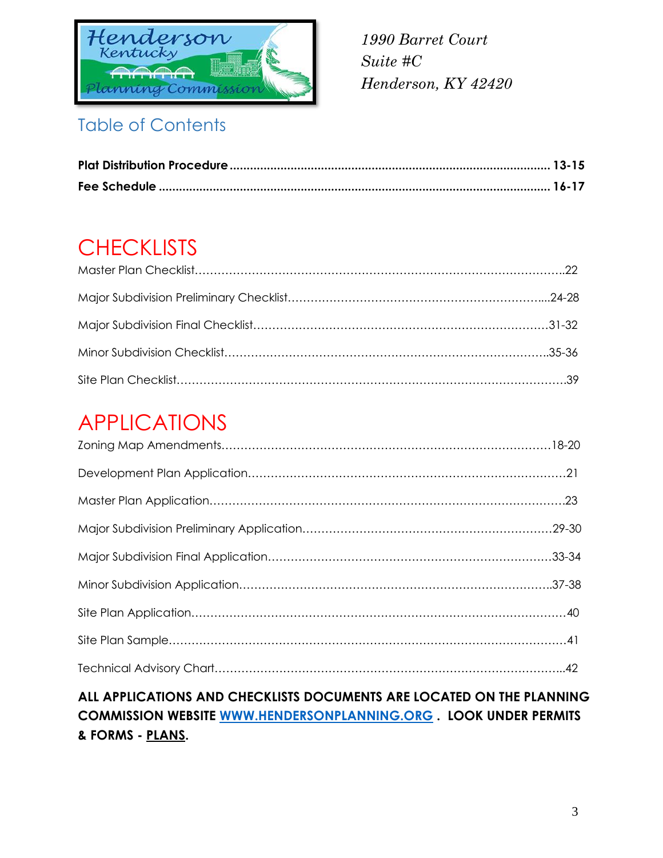

## Table of Contents

## **CHECKLISTS**

## APPLICATIONS

### **ALL APPLICATIONS AND CHECKLISTS DOCUMENTS ARE LOCATED ON THE PLANNING COMMISSION WEBSITE [WWW.HENDERSONPLANNING.ORG](http://www.hendersonplanning.org/) . LOOK UNDER PERMITS & FORMS - PLANS.**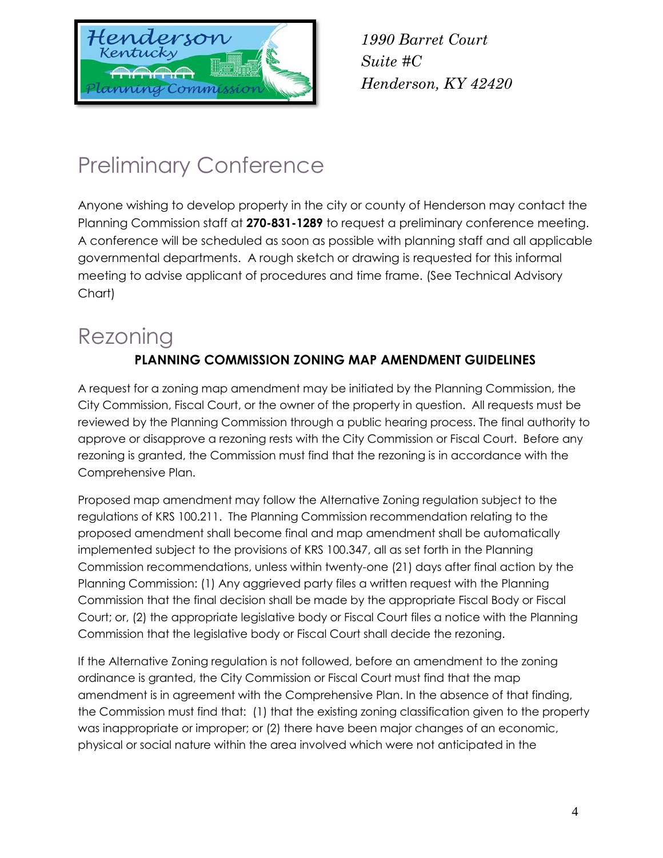

## Preliminary Conference

Anyone wishing to develop property in the city or county of Henderson may contact the Planning Commission staff at **270-831-1289** to request a preliminary conference meeting. A conference will be scheduled as soon as possible with planning staff and all applicable governmental departments. A rough sketch or drawing is requested for this informal meeting to advise applicant of procedures and time frame. (See Technical Advisory Chart)

# Rezoning

### **PLANNING COMMISSION ZONING MAP AMENDMENT GUIDELINES**

A request for a zoning map amendment may be initiated by the Planning Commission, the City Commission, Fiscal Court, or the owner of the property in question. All requests must be reviewed by the Planning Commission through a public hearing process. The final authority to approve or disapprove a rezoning rests with the City Commission or Fiscal Court. Before any rezoning is granted, the Commission must find that the rezoning is in accordance with the Comprehensive Plan.

Proposed map amendment may follow the Alternative Zoning regulation subject to the regulations of KRS 100.211. The Planning Commission recommendation relating to the proposed amendment shall become final and map amendment shall be automatically implemented subject to the provisions of KRS 100.347, all as set forth in the Planning Commission recommendations, unless within twenty-one (21) days after final action by the Planning Commission: (1) Any aggrieved party files a written request with the Planning Commission that the final decision shall be made by the appropriate Fiscal Body or Fiscal Court; or, (2) the appropriate legislative body or Fiscal Court files a notice with the Planning Commission that the legislative body or Fiscal Court shall decide the rezoning.

If the Alternative Zoning regulation is not followed, before an amendment to the zoning ordinance is granted, the City Commission or Fiscal Court must find that the map amendment is in agreement with the Comprehensive Plan. In the absence of that finding, the Commission must find that: (1) that the existing zoning classification given to the property was inappropriate or improper; or (2) there have been major changes of an economic, physical or social nature within the area involved which were not anticipated in the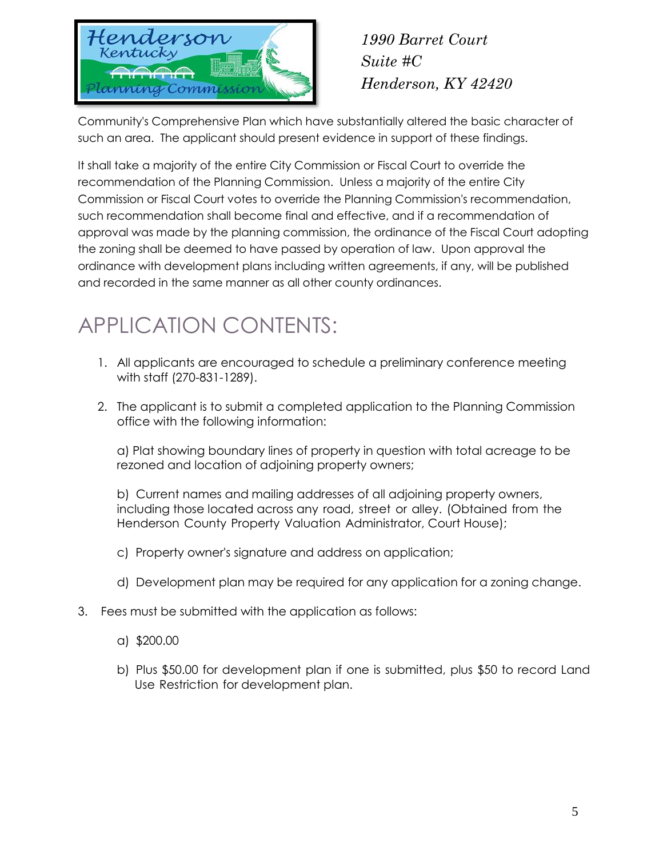

Community's Comprehensive Plan which have substantially altered the basic character of such an area. The applicant should present evidence in support of these findings.

It shall take a majority of the entire City Commission or Fiscal Court to override the recommendation of the Planning Commission. Unless a majority of the entire City Commission or Fiscal Court votes to override the Planning Commission's recommendation, such recommendation shall become final and effective, and if a recommendation of approval was made by the planning commission, the ordinance of the Fiscal Court adopting the zoning shall be deemed to have passed by operation of law. Upon approval the ordinance with development plans including written agreements, if any, will be published and recorded in the same manner as all other county ordinances.

## APPLICATION CONTENTS:

- 1. All applicants are encouraged to schedule a preliminary conference meeting with staff (270-831-1289).
- 2. The applicant is to submit a completed [application](http://www.hendersonplanning.org/) to the Planning Commission office with the following information:

a) Plat showing boundary lines of property in question with total acreage to be rezoned and location of adjoining property owners;

b) Current names and mailing addresses of all adjoining property owners, including those located across any road, street or alley. (Obtained from the Henderson County Property Valuation Administrator, Court House);

- c) Property owner's signature and address on application;
- d) Development plan may be required for any application for a zoning change.
- 3. Fees must be submitted with the application as follows:
	- a) \$200.00
	- b) Plus \$50.00 for development plan if one is submitted, plus \$50 to record Land Use Restriction for development plan.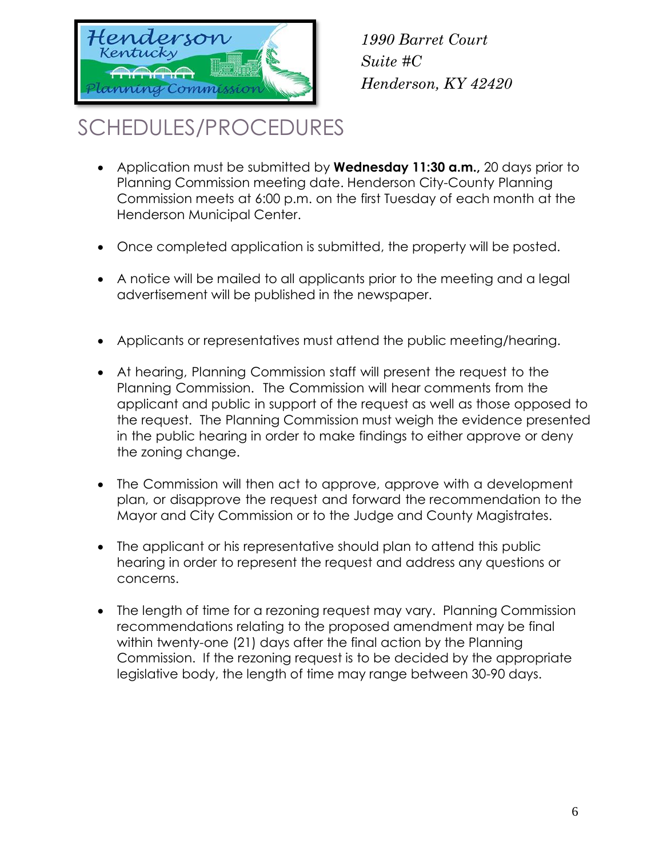

## SCHEDULES/PROCEDURES

- Application must be submitted by **Wednesday 11:30 a.m.,** 20 days prior to Planning Commission meeting date. Henderson City-County Planning Commission meets at 6:00 p.m. on the first Tuesday of each month at the Henderson Municipal Center.
- Once completed application is submitted, the property will be posted.
- A notice will be mailed to all applicants prior to the meeting and a legal advertisement will be published in the newspaper.
- Applicants or representatives must attend the public meeting/hearing.
- At hearing, Planning Commission staff will present the request to the Planning Commission. The Commission will hear comments from the applicant and public in support of the request as well as those opposed to the request. The Planning Commission must weigh the evidence presented in the public hearing in order to make findings to either approve or deny the zoning change.
- The Commission will then act to approve, approve with a development plan, or disapprove the request and forward the recommendation to the Mayor and City Commission or to the Judge and County Magistrates.
- The applicant or his representative should plan to attend this public hearing in order to represent the request and address any questions or concerns.
- The length of time for a rezoning request may vary. Planning Commission recommendations relating to the proposed amendment may be final within twenty-one (21) days after the final action by the Planning Commission. If the rezoning request is to be decided by the appropriate legislative body, the length of time may range between 30-90 days.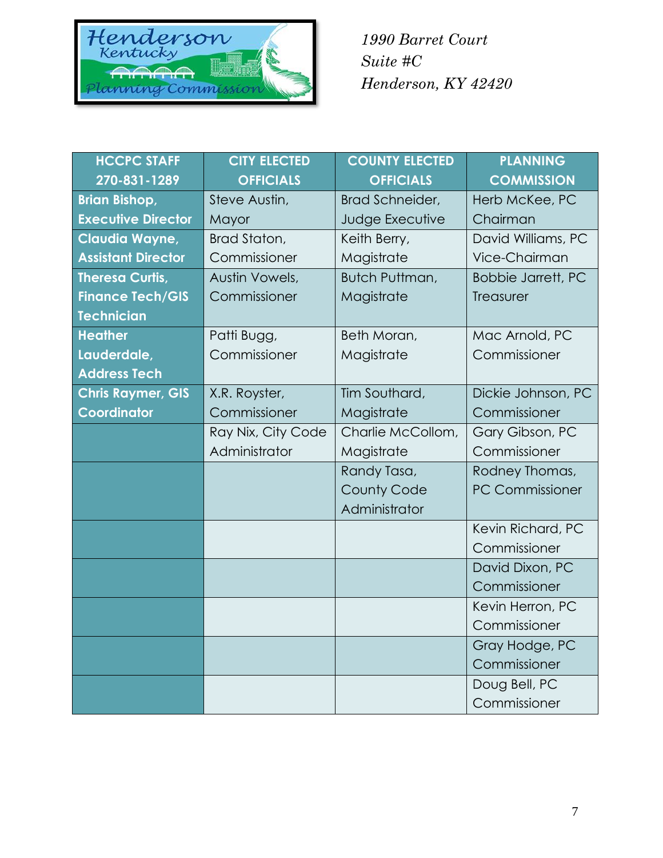

| <b>HCCPC STAFF</b>        | <b>CITY ELECTED</b> | <b>COUNTY ELECTED</b> | <b>PLANNING</b>           |
|---------------------------|---------------------|-----------------------|---------------------------|
| 270-831-1289              | <b>OFFICIALS</b>    | <b>OFFICIALS</b>      | <b>COMMISSION</b>         |
| <b>Brian Bishop,</b>      | Steve Austin,       | Brad Schneider,       | Herb McKee, PC            |
| <b>Executive Director</b> | Mayor               | Judge Executive       | Chairman                  |
| Claudia Wayne,            | Brad Staton,        | Keith Berry,          | David Williams, PC        |
| <b>Assistant Director</b> | Commissioner        | Magistrate            | Vice-Chairman             |
| <b>Theresa Curtis,</b>    | Austin Vowels,      | Butch Puttman,        | <b>Bobbie Jarrett, PC</b> |
| <b>Finance Tech/GIS</b>   | Commissioner        | Magistrate            | Treasurer                 |
| <b>Technician</b>         |                     |                       |                           |
| <b>Heather</b>            | Patti Bugg,         | Beth Moran,           | Mac Arnold, PC            |
| Lauderdale,               | Commissioner        | Magistrate            | Commissioner              |
| <b>Address Tech</b>       |                     |                       |                           |
| <b>Chris Raymer, GIS</b>  | X.R. Royster,       | Tim Southard,         | Dickie Johnson, PC        |
| Coordinator               | Commissioner        | Magistrate            | Commissioner              |
|                           | Ray Nix, City Code  | Charlie McCollom,     | Gary Gibson, PC           |
|                           | Administrator       | Magistrate            | Commissioner              |
|                           |                     | Randy Tasa,           | Rodney Thomas,            |
|                           |                     | <b>County Code</b>    | <b>PC Commissioner</b>    |
|                           |                     | Administrator         |                           |
|                           |                     |                       | Kevin Richard, PC         |
|                           |                     |                       | Commissioner              |
|                           |                     |                       | David Dixon, PC           |
|                           |                     |                       | Commissioner              |
|                           |                     |                       | Kevin Herron, PC          |
|                           |                     |                       | Commissioner              |
|                           |                     |                       | Gray Hodge, PC            |
|                           |                     |                       | Commissioner              |
|                           |                     |                       | Doug Bell, PC             |
|                           |                     |                       | Commissioner              |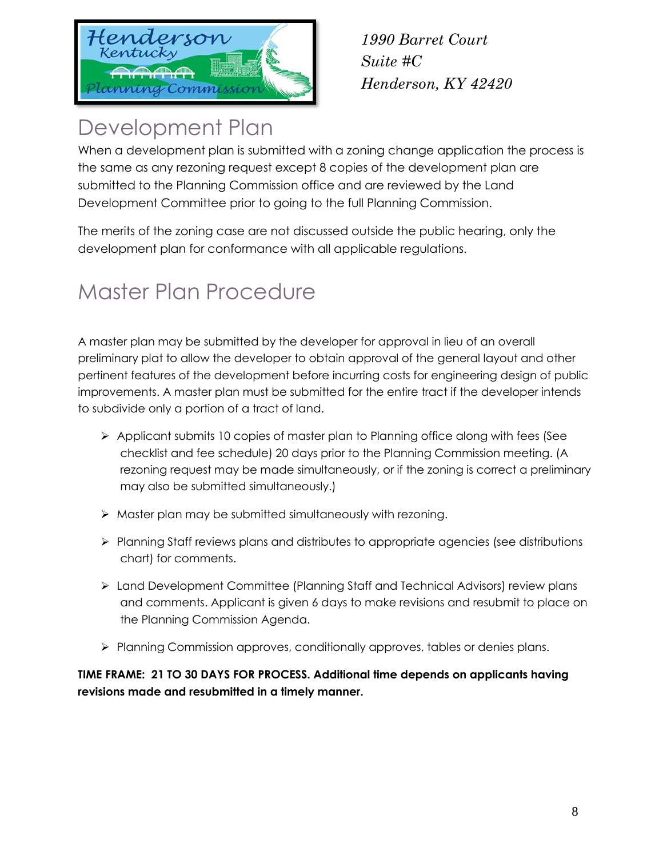

*1990 Barret Court Suite #C Henderson, KY 42420*

## Development Plan

When a development plan is submitted with a zoning change application the process is the same as any rezoning request except 8 copies of the development plan are submitted to the Planning Commission office and are reviewed by the Land Development Committee prior to going to the full Planning Commission.

The merits of the zoning case are not discussed outside the public hearing, only the development plan for conformance with all applicable regulations.

# Master Plan Procedure

A master plan may be submitted by the developer for approval in lieu of an overall preliminary plat to allow the developer to obtain approval of the general layout and other pertinent features of the development before incurring costs for engineering design of public improvements. A master plan must be submitted for the entire tract if the developer intends to subdivide only a portion of a tract of land.

- $\triangleright$  Applicant submits 10 copies of master plan to Planning office along with fees (See checklist and fee schedule) 20 days prior to the Planning Commission meeting. (A rezoning request may be made simultaneously, or if the zoning is correct a preliminary may also be submitted simultaneously.)
- $\triangleright$  Master plan may be submitted simultaneously with rezoning.
- Planning Staff reviews plans and distributes to appropriate agencies (see distributions chart) for comments.
- Land Development Committee (Planning Staff and Technical Advisors) review plans and comments. Applicant is given 6 days to make revisions and resubmit to place on the Planning Commission Agenda.
- $\triangleright$  Planning Commission approves, conditionally approves, tables or denies plans.

**TIME FRAME: 21 TO 30 DAYS FOR PROCESS. Additional time depends on applicants having revisions made and resubmitted in a timely manner.**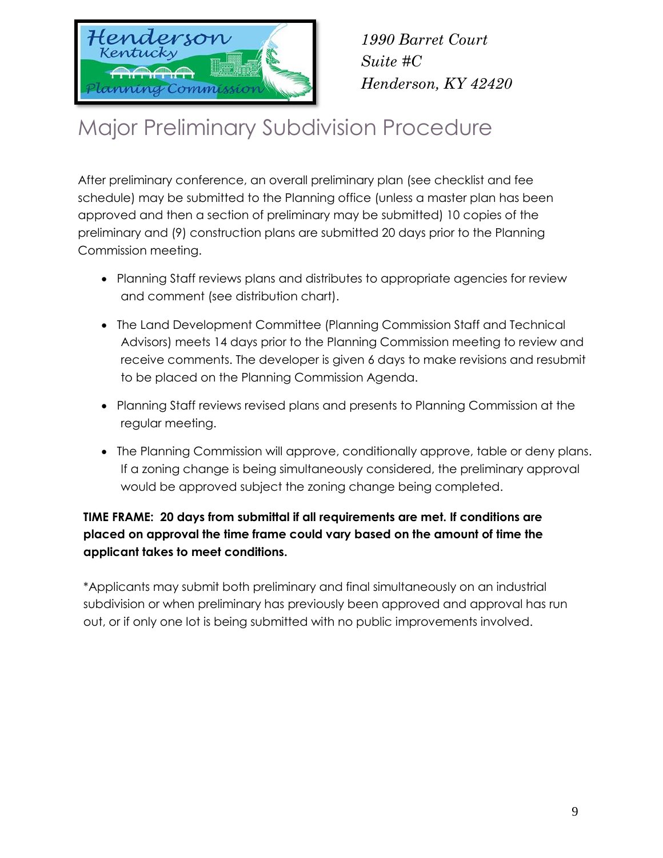

# Major Preliminary Subdivision Procedure

After preliminary conference, an overall preliminary plan (see checklist and fee schedule) may be submitted to the Planning office (unless a master plan has been approved and then a section of preliminary may be submitted) 10 copies of the preliminary and (9) construction plans are submitted 20 days prior to the Planning Commission meeting.

- Planning Staff reviews plans and distributes to appropriate agencies for review and comment (see distribution chart).
- The Land Development Committee (Planning Commission Staff and Technical Advisors) meets 14 days prior to the Planning Commission meeting to review and receive comments. The developer is given 6 days to make revisions and resubmit to be placed on the Planning Commission Agenda.
- Planning Staff reviews revised plans and presents to Planning Commission at the regular meeting.
- The Planning Commission will approve, conditionally approve, table or deny plans. If a zoning change is being simultaneously considered, the preliminary approval would be approved subject the zoning change being completed.

### **TIME FRAME: 20 days from submittal if all requirements are met. If conditions are placed on approval the time frame could vary based on the amount of time the applicant takes to meet conditions.**

\*Applicants may submit both preliminary and final simultaneously on an industrial subdivision or when preliminary has previously been approved and approval has run out, or if only one lot is being submitted with no public improvements involved.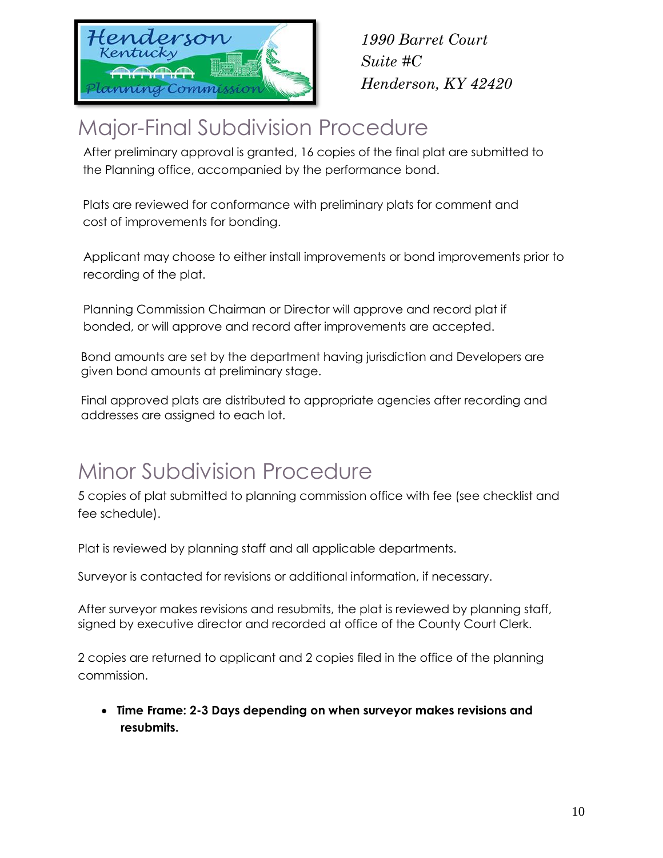

## Major-Final Subdivision Procedure

After preliminary approval is granted, 16 copies of the final plat are submitted to the Planning office, accompanied by the performance bond.

Plats are reviewed for conformance with preliminary plats for comment and cost of improvements for bonding.

Applicant may choose to either install improvements or bond improvements prior to recording of the plat.

Planning Commission Chairman or Director will approve and record plat if bonded, or will approve and record after improvements are accepted.

Bond amounts are set by the department having jurisdiction and Developers are given bond amounts at preliminary stage.

Final approved plats are distributed to appropriate agencies after recording and addresses are assigned to each lot.

## Minor Subdivision Procedure

5 copies of plat submitted to planning commission office with fee (see checklist and fee schedule).

Plat is reviewed by planning staff and all applicable departments.

Surveyor is contacted for revisions or additional information, if necessary.

After surveyor makes revisions and resubmits, the plat is reviewed by planning staff, signed by executive director and recorded at office of the County Court Clerk.

2 copies are returned to applicant and 2 copies filed in the office of the planning commission.

 **Time Frame: 2-3 Days depending on when surveyor makes revisions and resubmits.**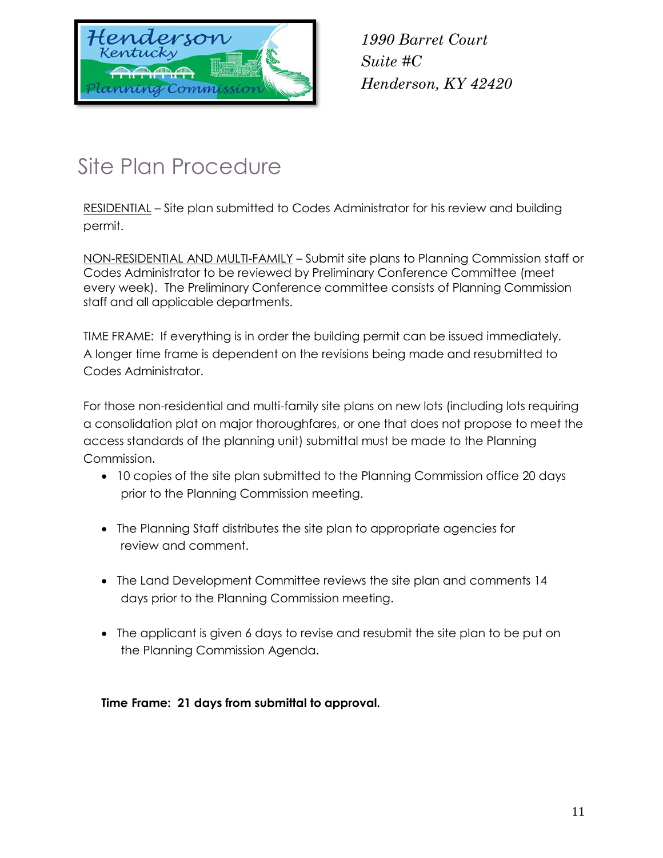

# Site Plan Procedure

RESIDENTIAL – Site plan submitted to Codes Administrator for his review and building permit.

NON-RESIDENTIAL AND MULTI-FAMILY – Submit site plans to Planning Commission staff or Codes Administrator to be reviewed by Preliminary Conference Committee (meet every week). The Preliminary Conference committee consists of Planning Commission staff and all applicable departments.

TIME FRAME: If everything is in order the building permit can be issued immediately. A longer time frame is dependent on the revisions being made and resubmitted to Codes Administrator.

For those non-residential and multi-family site plans on new lots (including lots requiring a consolidation plat on major thoroughfares, or one that does not propose to meet the access standards of the planning unit) submittal must be made to the Planning Commission.

- 10 copies of the site plan submitted to the Planning Commission office 20 days prior to the Planning Commission meeting.
- The Planning Staff distributes the site plan to appropriate agencies for review and comment.
- The Land Development Committee reviews the site plan and comments 14 days prior to the Planning Commission meeting.
- The applicant is given 6 days to revise and resubmit the site plan to be put on the Planning Commission Agenda.

**Time Frame: 21 days from submittal to approval.**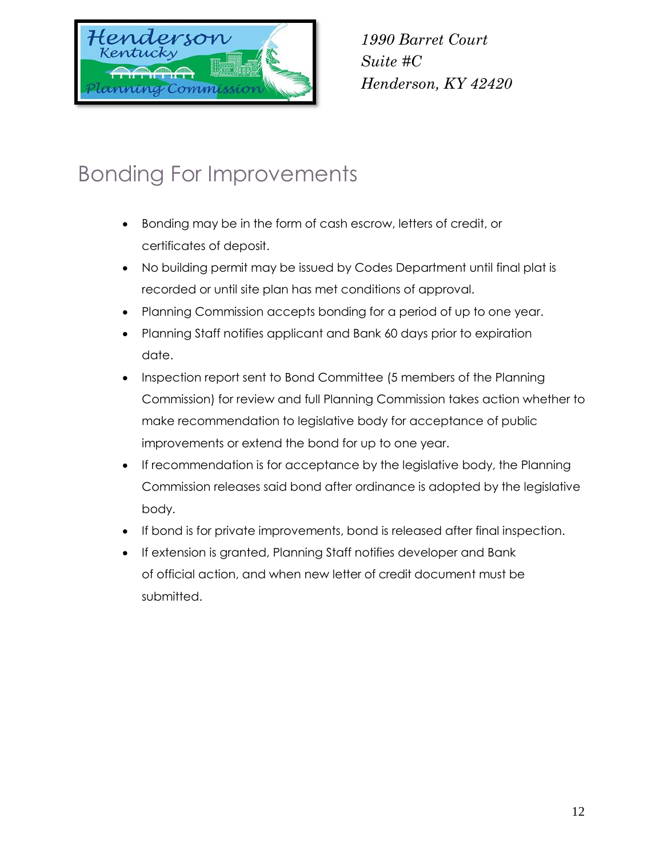

## Bonding For Improvements

- Bonding may be in the form of cash escrow, letters of credit, or certificates of deposit.
- No building permit may be issued by Codes Department until final plat is recorded or until site plan has met conditions of approval.
- Planning Commission accepts bonding for a period of up to one year.
- Planning Staff notifies applicant and Bank 60 days prior to expiration date.
- Inspection report sent to Bond Committee (5 members of the Planning Commission) for review and full Planning Commission takes action whether to make recommendation to legislative body for acceptance of public improvements or extend the bond for up to one year.
- If recommendation is for acceptance by the legislative body, the Planning Commission releases said bond after ordinance is adopted by the legislative body.
- If bond is for private improvements, bond is released after final inspection.
- **If extension is granted, Planning Staff notifies developer and Bank** of official action, and when new letter of credit document must be submitted.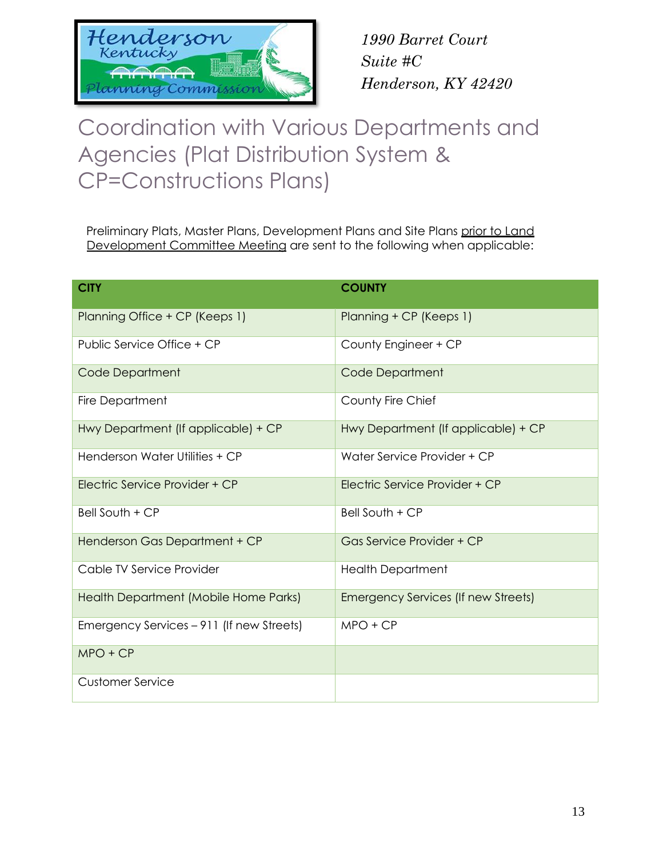

## Coordination with Various Departments and Agencies (Plat Distribution System & CP=Constructions Plans)

Preliminary Plats, Master Plans, Development Plans and Site Plans prior to Land Development Committee Meeting are sent to the following when applicable:

| <b>CITY</b>                               | <b>COUNTY</b>                       |
|-------------------------------------------|-------------------------------------|
| Planning Office + CP (Keeps 1)            | Planning + CP (Keeps 1)             |
| Public Service Office + CP                | County Engineer + CP                |
| <b>Code Department</b>                    | <b>Code Department</b>              |
| Fire Department                           | County Fire Chief                   |
| Hwy Department (If applicable) + CP       | Hwy Department (If applicable) + CP |
| Henderson Water Utilities + CP            | Water Service Provider + CP         |
| Electric Service Provider + CP            | Electric Service Provider + CP      |
| Bell South + CP                           | $Bell$ South $+ CP$                 |
| Henderson Gas Department + CP             | Gas Service Provider + CP           |
| Cable TV Service Provider                 | <b>Health Department</b>            |
| Health Department (Mobile Home Parks)     | Emergency Services (If new Streets) |
| Emergency Services – 911 (If new Streets) | $MPO + CP$                          |
| $MPO + CP$                                |                                     |
| <b>Customer Service</b>                   |                                     |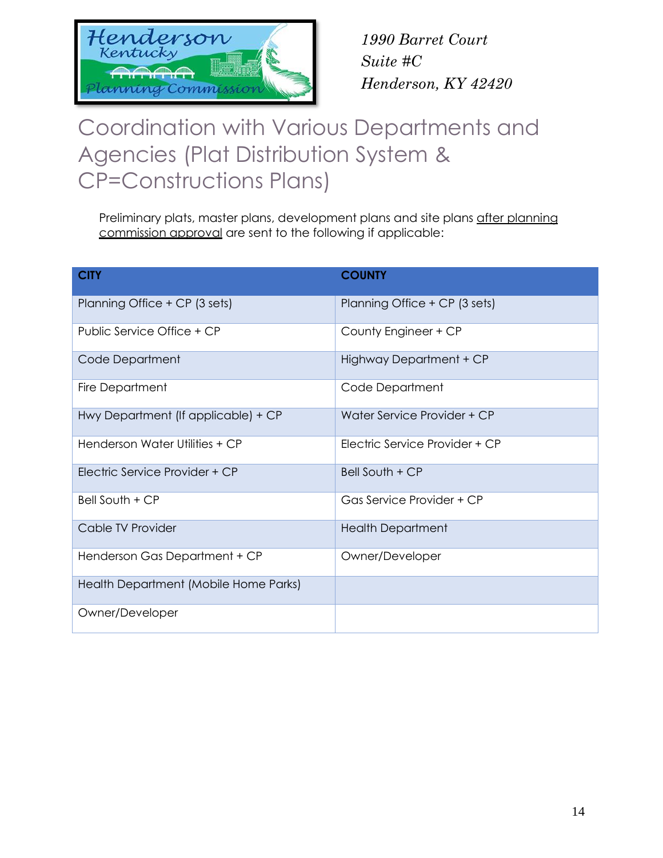

## Coordination with Various Departments and Agencies (Plat Distribution System & CP=Constructions Plans)

Preliminary plats, master plans, development plans and site plans after planning commission approval are sent to the following if applicable:

| <b>CITY</b>                           | <b>COUNTY</b>                  |
|---------------------------------------|--------------------------------|
| Planning Office + CP (3 sets)         | Planning Office + CP (3 sets)  |
| Public Service Office + CP            | County Engineer + CP           |
| Code Department                       | Highway Department + CP        |
| Fire Department                       | Code Department                |
| Hwy Department (If applicable) + CP   | Water Service Provider + CP    |
| Henderson Water Utilities + CP        | Electric Service Provider + CP |
| Flectric Service Provider + CP        | Bell South + CP                |
| Bell South + CP                       | Gas Service Provider + CP      |
| Cable TV Provider                     | <b>Health Department</b>       |
| Henderson Gas Department + CP         | Owner/Developer                |
| Health Department (Mobile Home Parks) |                                |
| Owner/Developer                       |                                |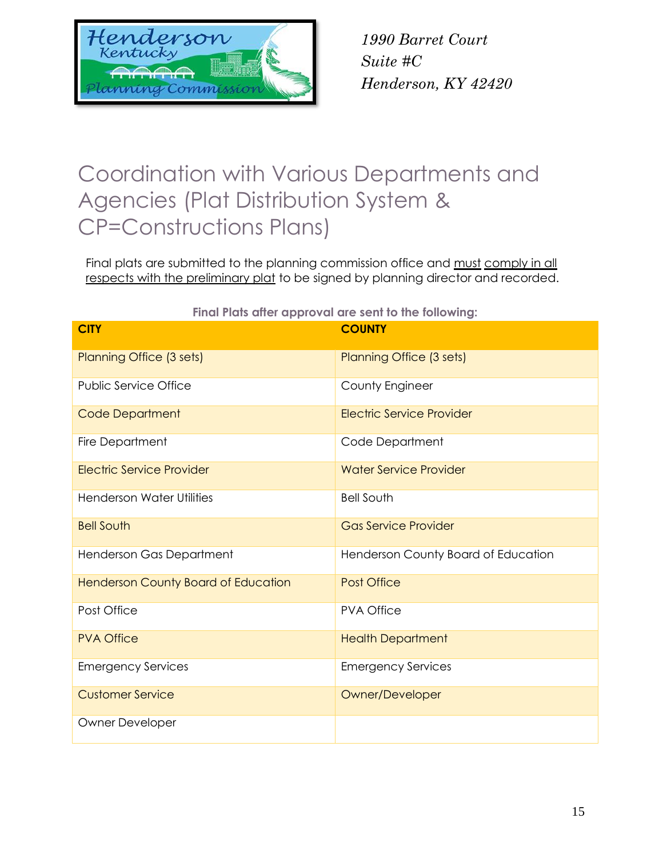

## Coordination with Various Departments and Agencies (Plat Distribution System & CP=Constructions Plans)

Final plats are submitted to the planning commission office and must comply in all respects with the preliminary plat to be signed by planning director and recorded.

|                                            | <b>THIGHT IGIS QUET OPPIOYAL GIE SEIN IO THE TONOWING.</b> |
|--------------------------------------------|------------------------------------------------------------|
| <b>CITY</b>                                | <b>COUNTY</b>                                              |
| Planning Office (3 sets)                   | Planning Office (3 sets)                                   |
| <b>Public Service Office</b>               | County Engineer                                            |
| <b>Code Department</b>                     | <b>Electric Service Provider</b>                           |
| Fire Department                            | Code Department                                            |
| <b>Electric Service Provider</b>           | <b>Water Service Provider</b>                              |
| <b>Henderson Water Utilities</b>           | <b>Bell South</b>                                          |
| <b>Bell South</b>                          | <b>Gas Service Provider</b>                                |
| Henderson Gas Department                   | Henderson County Board of Education                        |
| <b>Henderson County Board of Education</b> | <b>Post Office</b>                                         |
| Post Office                                | <b>PVA Office</b>                                          |
| <b>PVA Office</b>                          | <b>Health Department</b>                                   |
| <b>Emergency Services</b>                  | <b>Emergency Services</b>                                  |
| <b>Customer Service</b>                    | Owner/Developer                                            |
| <b>Owner Developer</b>                     |                                                            |

**Final Plats after approval are sent to the following:**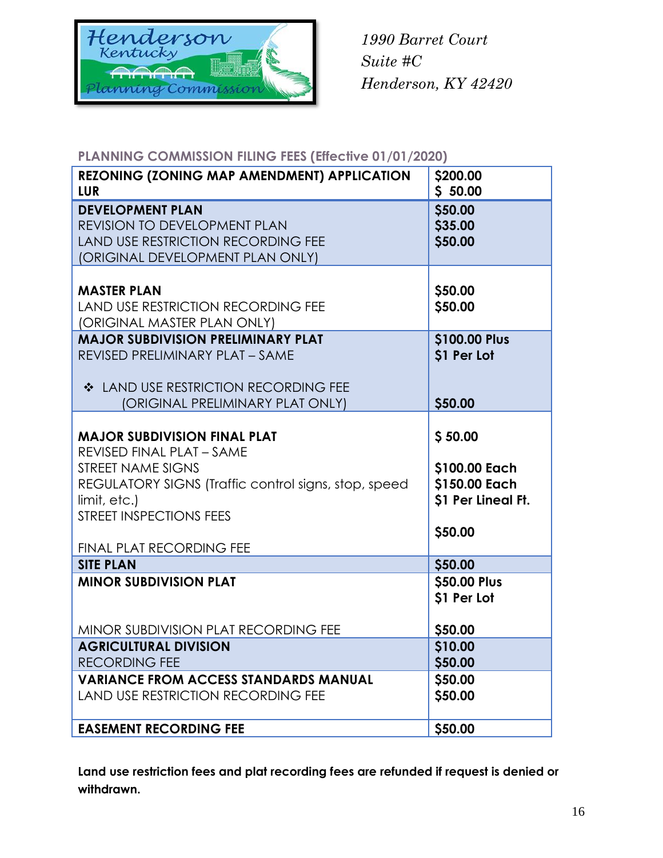

#### **PLANNING COMMISSION FILING FEES (Effective 01/01/2020)**

| <b>REZONING (ZONING MAP AMENDMENT) APPLICATION</b><br><b>LUR</b> | \$200.00<br>\$50.00 |
|------------------------------------------------------------------|---------------------|
|                                                                  |                     |
| <b>DEVELOPMENT PLAN</b><br><b>REVISION TO DEVELOPMENT PLAN</b>   | \$50.00             |
| <b>LAND USE RESTRICTION RECORDING FEE</b>                        | \$35.00<br>\$50.00  |
| (ORIGINAL DEVELOPMENT PLAN ONLY)                                 |                     |
|                                                                  |                     |
| <b>MASTER PLAN</b>                                               | \$50.00             |
| <b>LAND USE RESTRICTION RECORDING FEE</b>                        | \$50.00             |
| (ORIGINAL MASTER PLAN ONLY)                                      |                     |
| <b>MAJOR SUBDIVISION PRELIMINARY PLAT</b>                        | \$100.00 Plus       |
| REVISED PRELIMINARY PLAT - SAME                                  | \$1 Per Lot         |
|                                                                  |                     |
| ❖ LAND USE RESTRICTION RECORDING FEE                             |                     |
| (ORIGINAL PRELIMINARY PLAT ONLY)                                 | \$50.00             |
|                                                                  |                     |
| <b>MAJOR SUBDIVISION FINAL PLAT</b>                              | \$50.00             |
| REVISED FINAL PLAT - SAME                                        |                     |
| STREET NAME SIGNS                                                | \$100.00 Each       |
| REGULATORY SIGNS (Traffic control signs, stop, speed             | \$150.00 Each       |
| limit, etc.)                                                     | \$1 Per Lineal Ft.  |
| <b>STREET INSPECTIONS FEES</b>                                   |                     |
|                                                                  | \$50.00             |
| <b>FINAL PLAT RECORDING FEE</b>                                  |                     |
| <b>SITE PLAN</b>                                                 | \$50.00             |
| <b>MINOR SUBDIVISION PLAT</b>                                    | \$50.00 Plus        |
|                                                                  | \$1 Per Lot         |
|                                                                  |                     |
| MINOR SUBDIVISION PLAT RECORDING FEE                             | \$50.00             |
| <b>AGRICULTURAL DIVISION</b>                                     | \$10.00             |
| <b>RECORDING FEE</b>                                             | \$50.00             |
| <b>VARIANCE FROM ACCESS STANDARDS MANUAL</b>                     | \$50.00             |
| <b>LAND USE RESTRICTION RECORDING FEE</b>                        | \$50.00             |
|                                                                  |                     |
| <b>EASEMENT RECORDING FEE</b>                                    | \$50.00             |

**Land use restriction fees and plat recording fees are refunded if request is denied or withdrawn.**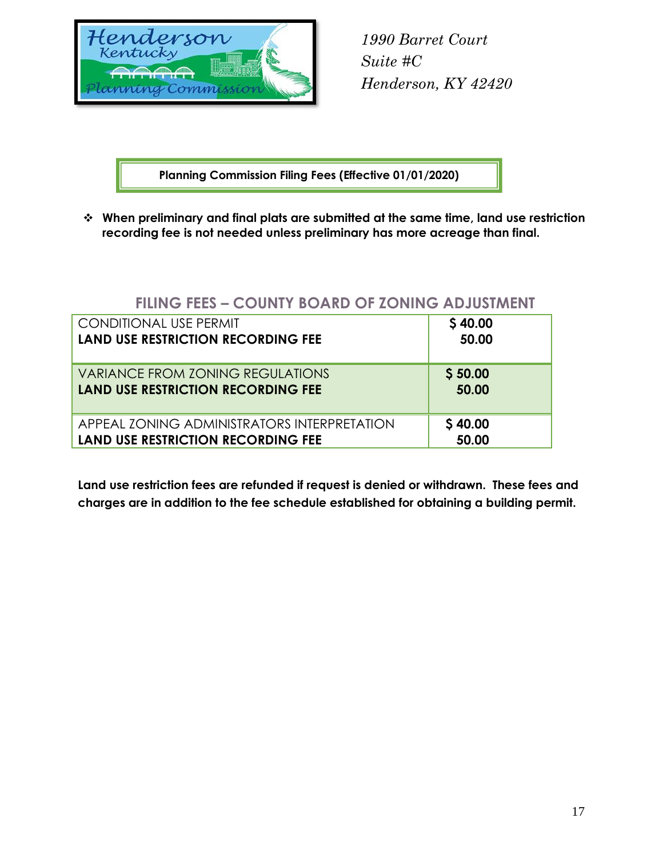

**Planning Commission Filing Fees (Effective 01/01/2020)**

 **When preliminary and final plats are submitted at the same time, land use restriction recording fee is not needed unless preliminary has more acreage than final.**

### **FILING FEES – COUNTY BOARD OF ZONING ADJUSTMENT**

| <b>CONDITIONAL USE PERMIT</b>               | \$40.00 |
|---------------------------------------------|---------|
| <b>LAND USE RESTRICTION RECORDING FEE</b>   | 50.00   |
| VARIANCE FROM ZONING REGULATIONS            | \$50.00 |
| <b>LAND USE RESTRICTION RECORDING FEE</b>   | 50.00   |
| APPEAL ZONING ADMINISTRATORS INTERPRETATION | \$40.00 |
| <b>LAND USE RESTRICTION RECORDING FEE</b>   | 50.00   |

**Land use restriction fees are refunded if request is denied or withdrawn. These fees and charges are in addition to the fee schedule established for obtaining a building permit.**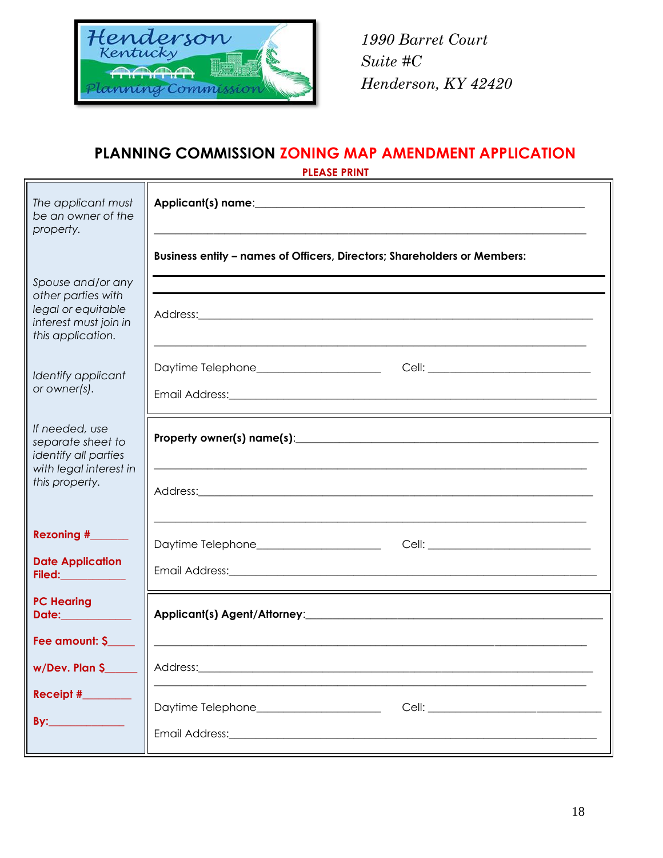

#### **PLANNING COMMISSION ZONING MAP AMENDMENT APPLICATION PLEASE PRINT**

| The applicant must<br>be an owner of the<br>property.                                                       |                                                                                                                                                                                                            |
|-------------------------------------------------------------------------------------------------------------|------------------------------------------------------------------------------------------------------------------------------------------------------------------------------------------------------------|
|                                                                                                             | Business entity - names of Officers, Directors; Shareholders or Members:                                                                                                                                   |
| Spouse and/or any<br>other parties with<br>legal or equitable<br>interest must join in<br>this application. |                                                                                                                                                                                                            |
| Identify applicant<br>or owner(s).                                                                          | Daytime Telephone_______________________________Cell: __________________________<br>Email Address: <u>Andreas Address:</u> Andreas Address: Andreas Address: Andreas Address: Address: Address: Address: A |
| If needed, use<br>separate sheet to<br>identify all parties<br>with legal interest in<br>this property.     | Address: 2008 - 2008 - 2008 - 2019 - 2019 - 2019 - 2019 - 2019 - 2019 - 2019 - 2019 - 2019 - 2019 - 2019 - 201                                                                                             |
| Rezoning #______                                                                                            | Daytime Telephone_________________________________Cell: ________________________                                                                                                                           |
| <b>Date Application</b><br><b>Filed:___________</b>                                                         |                                                                                                                                                                                                            |
| <b>PC Hearing</b><br>Date:____________<br>Fee amount: \$                                                    |                                                                                                                                                                                                            |
| w/Dev. Plan \$                                                                                              | Address:                                                                                                                                                                                                   |
| Receipt #<br>By:                                                                                            | Daytime Telephone_____________________<br>Email Address: Management and Contract and Contract and Contract and Contract and Contract and Contract and Co                                                   |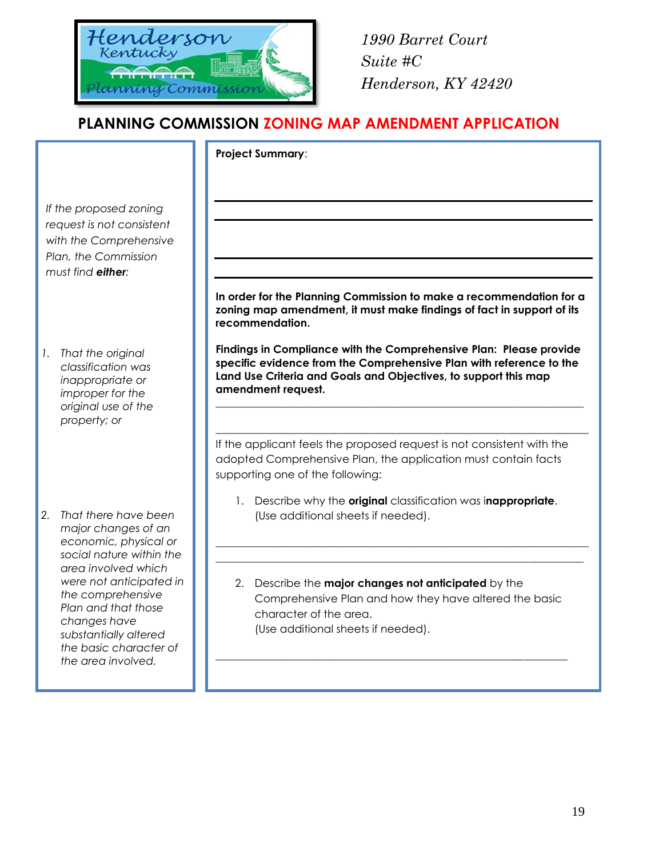

### **PLANNING COMMISSION ZONING MAP AMENDMENT APPLICATION**

|                                                                                                                                                                                     | <b>Project Summary:</b>                                                                                                                                                                                                            |
|-------------------------------------------------------------------------------------------------------------------------------------------------------------------------------------|------------------------------------------------------------------------------------------------------------------------------------------------------------------------------------------------------------------------------------|
| If the proposed zoning<br>request is not consistent<br>with the Comprehensive<br>Plan, the Commission<br>must find either:                                                          | In order for the Planning Commission to make a recommendation for a                                                                                                                                                                |
|                                                                                                                                                                                     | zoning map amendment, it must make findings of fact in support of its<br>recommendation.                                                                                                                                           |
| 1.<br>That the original<br>classification was<br>inappropriate or<br>improper for the<br>original use of the<br>property; or                                                        | Findings in Compliance with the Comprehensive Plan: Please provide<br>specific evidence from the Comprehensive Plan with reference to the<br>Land Use Criteria and Goals and Objectives, to support this map<br>amendment request. |
|                                                                                                                                                                                     | If the applicant feels the proposed request is not consistent with the<br>adopted Comprehensive Plan, the application must contain facts<br>supporting one of the following:                                                       |
| That there have been<br>major changes of an<br>economic, physical or                                                                                                                | 1. Describe why the original classification was inappropriate.<br>(Use additional sheets if needed).                                                                                                                               |
| area involved which<br>were not anticipated in<br>the comprehensive<br>Plan and that those<br>changes have<br>substantially altered<br>the basic character of<br>the area involved. | 2. Describe the major changes not anticipated by the<br>Comprehensive Plan and how they have altered the basic<br>character of the area.<br>(Use additional sheets if needed).                                                     |
|                                                                                                                                                                                     | social nature within the                                                                                                                                                                                                           |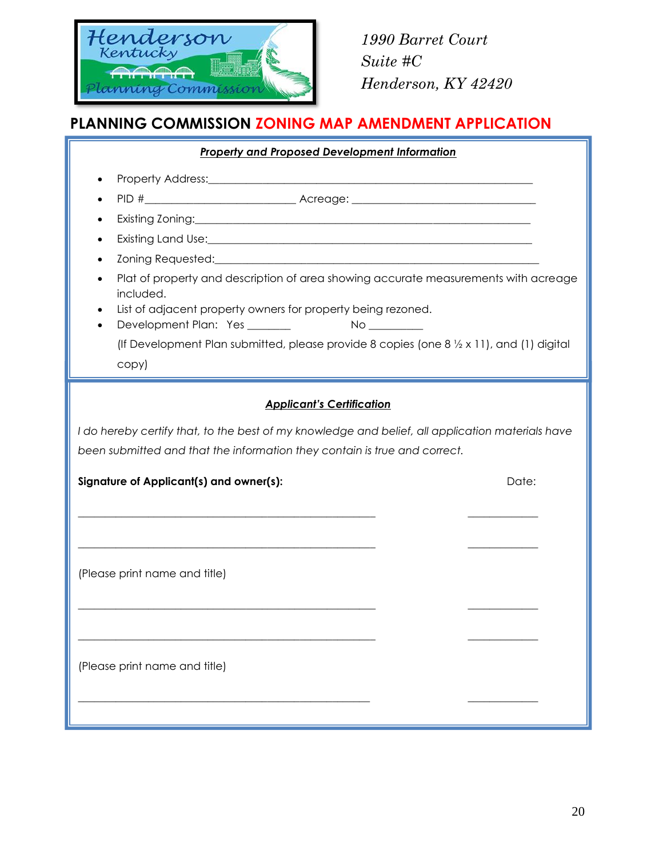

## **PLANNING COMMISSION ZONING MAP AMENDMENT APPLICATION**

| <b>Property and Proposed Development Information</b>                                                                                                                                                                           |       |  |  |
|--------------------------------------------------------------------------------------------------------------------------------------------------------------------------------------------------------------------------------|-------|--|--|
|                                                                                                                                                                                                                                |       |  |  |
|                                                                                                                                                                                                                                |       |  |  |
|                                                                                                                                                                                                                                |       |  |  |
|                                                                                                                                                                                                                                |       |  |  |
| Zoning Requested: North and Society and Society and Society and Society and Society and Society and Society and Society and Society and Society and Society and Society and Society and Society and Society and Society and So |       |  |  |
| Plat of property and description of area showing accurate measurements with acreage<br>included.<br>List of adjacent property owners for property being rezoned.                                                               |       |  |  |
|                                                                                                                                                                                                                                |       |  |  |
| (If Development Plan submitted, please provide 8 copies (one $8\frac{1}{2} \times 11$ ), and (1) digital                                                                                                                       |       |  |  |
| copy)                                                                                                                                                                                                                          |       |  |  |
| <b>Applicant's Certification</b>                                                                                                                                                                                               |       |  |  |
| I do hereby certify that, to the best of my knowledge and belief, all application materials have                                                                                                                               |       |  |  |
| been submitted and that the information they contain is true and correct.                                                                                                                                                      |       |  |  |
| Signature of Applicant(s) and owner(s):                                                                                                                                                                                        | Date: |  |  |
|                                                                                                                                                                                                                                |       |  |  |
| (Please print name and title)                                                                                                                                                                                                  |       |  |  |
|                                                                                                                                                                                                                                |       |  |  |
| (Please print name and title)                                                                                                                                                                                                  |       |  |  |
|                                                                                                                                                                                                                                |       |  |  |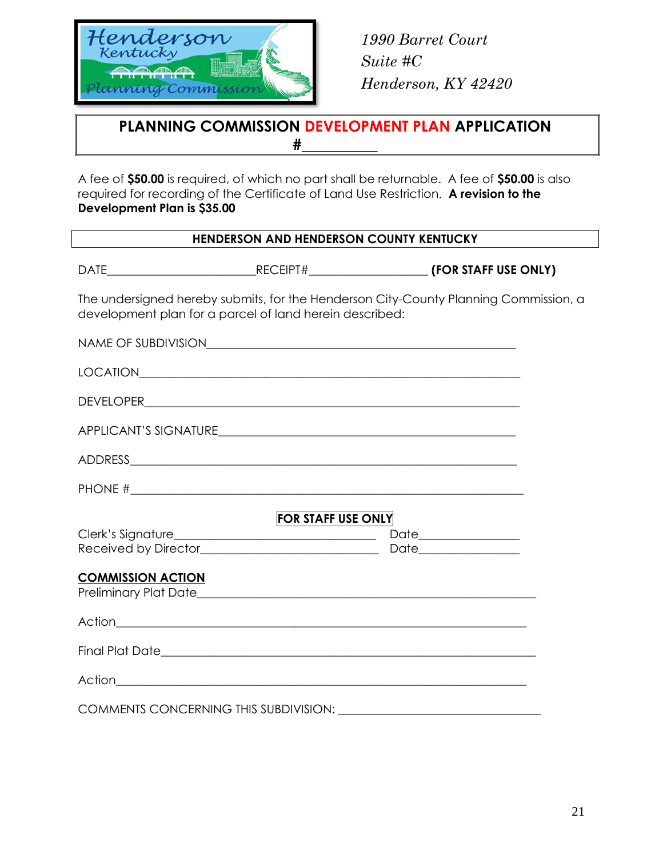

### **PLANNING COMMISSION DEVELOPMENT PLAN APPLICATION #\_\_\_\_\_\_\_\_\_\_**

A fee of **\$50.00** is required, of which no part shall be returnable. A fee of **\$50.00** is also required for recording of the Certificate of Land Use Restriction. **A revision to the Development Plan is \$35.00**

#### **HENDERSON AND HENDERSON COUNTY KENTUCKY**

DATE\_\_\_\_\_\_\_\_\_\_\_\_\_\_\_\_\_\_\_\_\_\_\_\_\_RECEIPT#\_\_\_\_\_\_\_\_\_\_\_\_\_\_\_\_\_\_\_\_ **(FOR STAFF USE ONLY)**

The undersigned hereby submits, for the Henderson City-County Planning Commission, a development plan for a parcel of land herein described:

| PHONE $\#$                                            |  |  |
|-------------------------------------------------------|--|--|
| <b>FOR STAFF USE ONLY</b><br><b>COMMISSION ACTION</b> |  |  |
|                                                       |  |  |
|                                                       |  |  |
|                                                       |  |  |
|                                                       |  |  |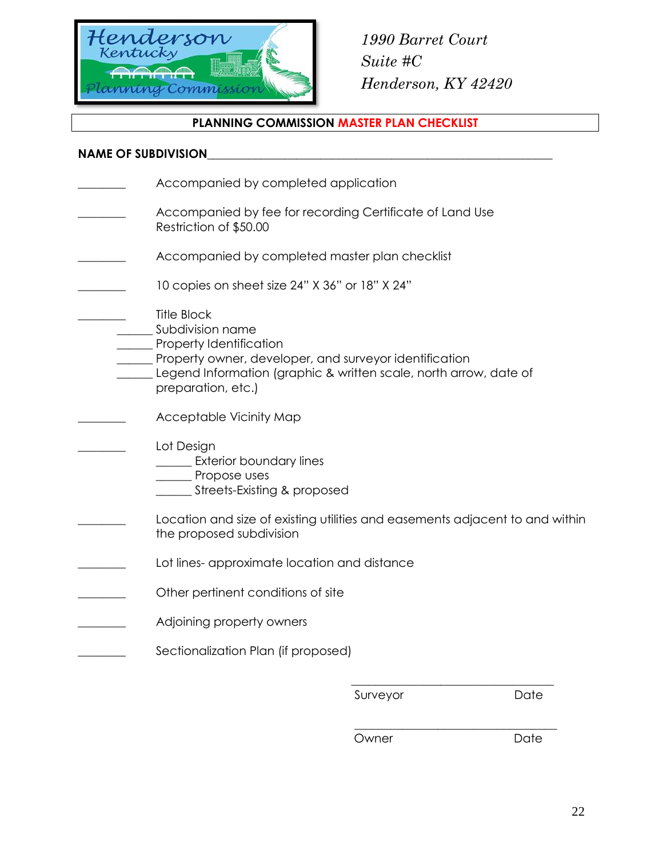

#### **PLANNING COMMISSION MASTER PLAN CHECKLIST**

#### NAME OF SUBDIVISION

Accompanied by completed application Accompanied by fee for recording Certificate of Land Use Restriction of \$50.00 Accompanied by completed master plan checklist 10 copies on sheet size 24" X 36" or 18" X 24" \_\_\_\_\_\_\_\_ Title Block Subdivision name Property Identification Property owner, developer, and surveyor identification Legend Information (graphic & written scale, north arrow, date of preparation, etc.) Acceptable Vicinity Map Lot Design **Exterior boundary lines** \_\_\_\_\_\_ Propose uses \_\_\_\_\_\_ Streets-Existing & proposed Location and size of existing utilities and easements adjacent to and within the proposed subdivision Lot lines- approximate location and distance Other pertinent conditions of site Adjoining property owners Sectionalization Plan (if proposed)  $\overline{\phantom{a}}$  ,  $\overline{\phantom{a}}$  ,  $\overline{\phantom{a}}$  ,  $\overline{\phantom{a}}$  ,  $\overline{\phantom{a}}$  ,  $\overline{\phantom{a}}$  ,  $\overline{\phantom{a}}$  ,  $\overline{\phantom{a}}$  ,  $\overline{\phantom{a}}$  ,  $\overline{\phantom{a}}$  ,  $\overline{\phantom{a}}$  ,  $\overline{\phantom{a}}$  ,  $\overline{\phantom{a}}$  ,  $\overline{\phantom{a}}$  ,  $\overline{\phantom{a}}$  ,  $\overline{\phantom{a}}$ 

Surveyor Date

Owner Date

 $\frac{1}{2}$  ,  $\frac{1}{2}$  ,  $\frac{1}{2}$  ,  $\frac{1}{2}$  ,  $\frac{1}{2}$  ,  $\frac{1}{2}$  ,  $\frac{1}{2}$  ,  $\frac{1}{2}$  ,  $\frac{1}{2}$  ,  $\frac{1}{2}$  ,  $\frac{1}{2}$  ,  $\frac{1}{2}$  ,  $\frac{1}{2}$  ,  $\frac{1}{2}$  ,  $\frac{1}{2}$  ,  $\frac{1}{2}$  ,  $\frac{1}{2}$  ,  $\frac{1}{2}$  ,  $\frac{1$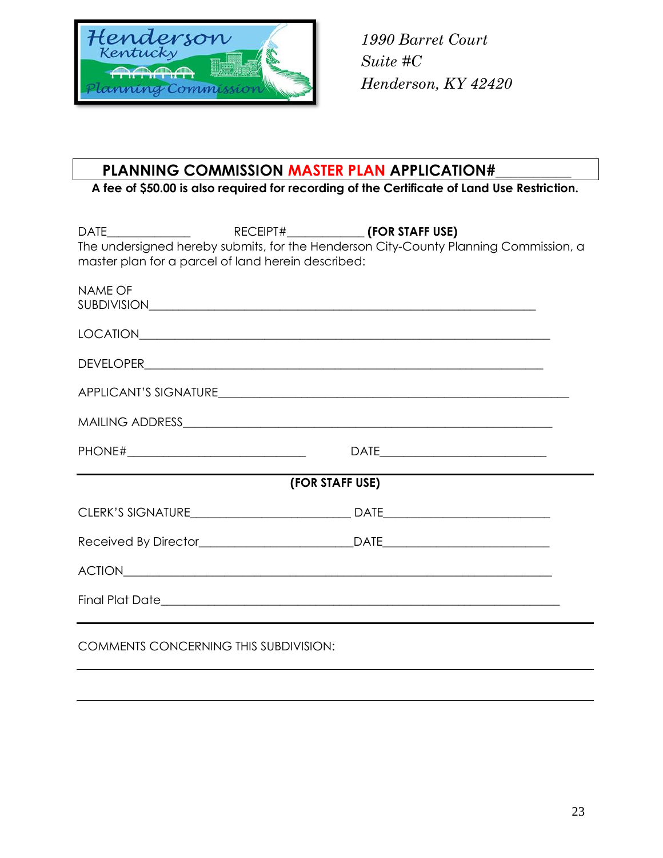

### **PLANNING COMMISSION MASTER PLAN APPLICATION#\_\_\_\_\_\_\_\_\_\_**

**A fee of \$50.00 is also required for recording of the Certificate of Land Use Restriction.**

|                                                    |                 | The undersigned hereby submits, for the Henderson City-County Planning Commission, a |
|----------------------------------------------------|-----------------|--------------------------------------------------------------------------------------|
| master plan for a parcel of land herein described: |                 |                                                                                      |
| <b>NAME OF</b>                                     |                 |                                                                                      |
|                                                    |                 |                                                                                      |
|                                                    |                 |                                                                                      |
|                                                    |                 |                                                                                      |
|                                                    |                 |                                                                                      |
|                                                    |                 |                                                                                      |
|                                                    |                 |                                                                                      |
|                                                    |                 |                                                                                      |
|                                                    |                 |                                                                                      |
|                                                    |                 |                                                                                      |
|                                                    |                 |                                                                                      |
|                                                    |                 |                                                                                      |
|                                                    | (FOR STAFF USE) |                                                                                      |
|                                                    |                 |                                                                                      |
|                                                    |                 |                                                                                      |
|                                                    |                 |                                                                                      |
|                                                    |                 |                                                                                      |
|                                                    |                 |                                                                                      |
|                                                    |                 |                                                                                      |
|                                                    |                 |                                                                                      |
|                                                    |                 |                                                                                      |
| <b>COMMENTS CONCERNING THIS SUBDIVISION:</b>       |                 |                                                                                      |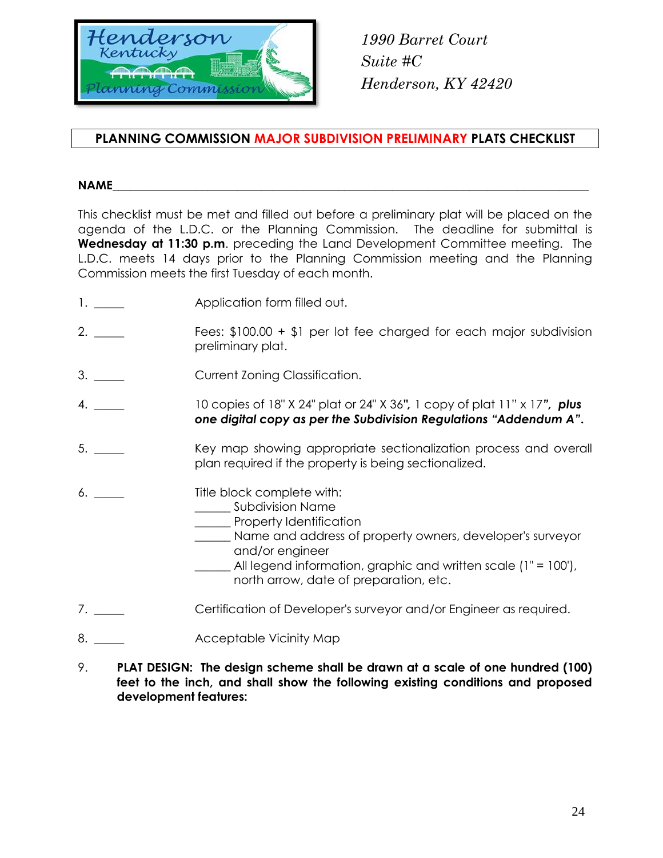

#### **PLANNING COMMISSION MAJOR SUBDIVISION PRELIMINARY PLATS CHECKLIST**

#### **NAME**\_\_\_\_\_\_\_\_\_\_\_\_\_\_\_\_\_\_\_\_\_\_\_\_\_\_\_\_\_\_\_\_\_\_\_\_\_\_\_\_\_\_\_\_\_\_\_\_\_\_\_\_\_\_\_\_\_\_\_\_\_\_\_\_\_\_\_\_\_\_\_\_\_\_\_\_\_\_\_\_

This checklist must be met and filled out before a preliminary plat will be placed on the agenda of the L.D.C. or the Planning Commission. The deadline for submittal is **Wednesday at 11:30 p.m**. preceding the Land Development Committee meeting. The L.D.C. meets 14 days prior to the Planning Commission meeting and the Planning Commission meets the first Tuesday of each month.

- 1. \_\_\_\_\_\_ Application form filled out.
- 2. \_\_\_\_\_ Fees: \$100.00 + \$1 per lot fee charged for each major subdivision preliminary plat.
- 3. \_\_\_\_\_ Current Zoning Classification.
- 4. \_\_\_\_\_ 10 copies of 18" X 24" plat or 24" X 36*",* 1 copy of plat 11" x 17*", plus one digital copy as per the Subdivision Regulations "Addendum A"***.**
- 5. \_\_\_\_ Key map showing appropriate sectionalization process and overall plan required if the property is being sectionalized.
- 6. \_\_\_\_\_\_ Title block complete with:
	- \_\_\_\_\_\_ Subdivision Name
		- Property Identification
		- \_\_\_\_\_\_ Name and address of property owners, developer's surveyor and/or engineer
			- All legend information, graphic and written scale  $(1" = 100')$ , north arrow, date of preparation, etc.
- 7. \_\_\_\_ Certification of Developer's surveyor and/or Engineer as required.
- 8. **Acceptable Vicinity Map**
- 9. **PLAT DESIGN: The design scheme shall be drawn at a scale of one hundred (100) feet to the inch, and shall show the following existing conditions and proposed development features:**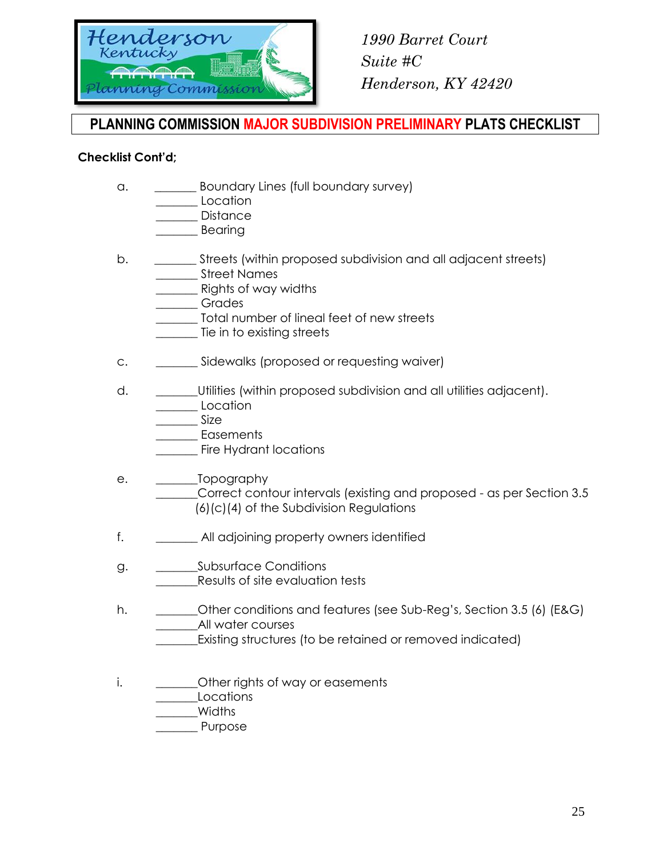

### **PLANNING COMMISSION MAJOR SUBDIVISION PRELIMINARY PLATS CHECKLIST**

#### **Checklist Cont'd;**

a. \_\_\_\_\_\_\_ Boundary Lines (full boundary survey)

\_\_\_\_\_\_\_ Location

\_\_\_\_\_\_\_ Distance

\_\_\_\_\_\_\_ Bearing

- b. \_\_\_\_\_\_\_\_ Streets (within proposed subdivision and all adjacent streets) \_\_\_\_\_\_\_ Street Names
	- **Example 20** Rights of way widths
	- \_\_\_\_\_\_\_ Grades
	- \_\_\_\_\_\_\_ Total number of lineal feet of new streets
	- \_\_\_\_\_\_\_ Tie in to existing streets
- c. \_\_\_\_\_\_\_ Sidewalks (proposed or requesting waiver)
- d. **Example 3** Utilities (within proposed subdivision and all utilities adjacent). Location
	- \_\_\_\_\_\_\_ Size
	- \_\_\_\_\_\_\_ Easements
	- Fire Hydrant locations
- e. \_\_\_\_\_\_\_Topography Correct contour intervals (existing and proposed - as per Section 3.5) (6)(c)(4) of the Subdivision Regulations
- f. \_\_\_\_\_\_\_ All adjoining property owners identified
- g. \_\_\_\_\_\_\_\_\_\_\_Subsurface Conditions \_\_\_\_\_\_\_Results of site evaluation tests
- h. **Other conditions and features (see Sub-Reg's, Section 3.5 (6) (E&G)** \_\_\_\_\_\_\_All water courses
	- Existing structures (to be retained or removed indicated)
- i.  $\blacksquare$  Other rights of way or easements
	- \_\_\_\_\_\_\_Locations

\_\_\_\_\_\_\_Widths

Purpose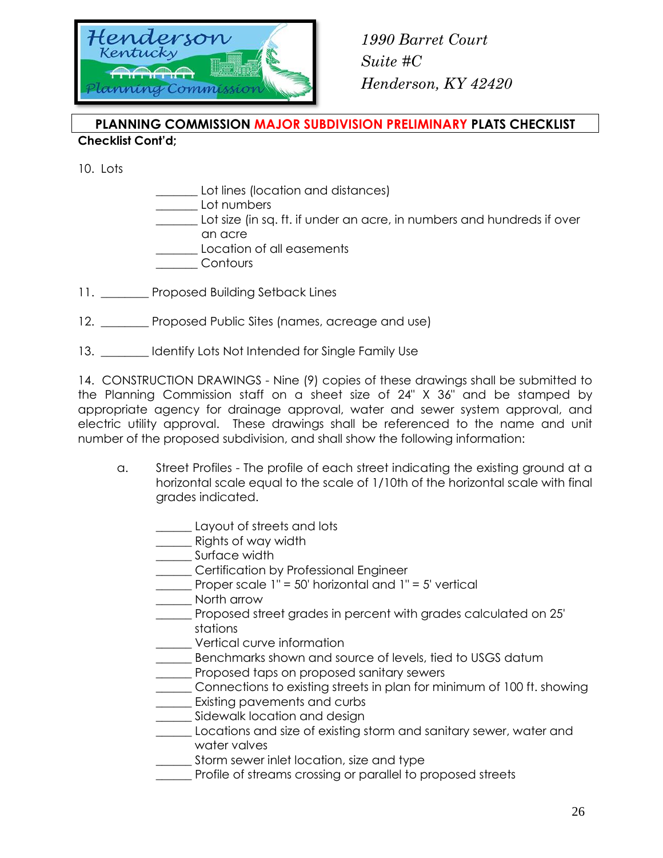

#### **PLANNING COMMISSION MAJOR SUBDIVISION PRELIMINARY PLATS CHECKLIST Checklist Cont'd;**

10. Lots

- \_\_\_\_\_\_\_ Lot lines (location and distances) \_\_\_\_\_\_\_ Lot numbers Lot size (in sq. ft. if under an acre, in numbers and hundreds if over an acre \_\_\_\_\_\_\_ Location of all easements \_\_\_\_\_\_\_ Contours
- 11. Proposed Building Setback Lines
- 12. \_\_\_\_\_\_\_ Proposed Public Sites (names, acreage and use)
- 13. \_\_\_\_\_\_\_\_ Identify Lots Not Intended for Single Family Use

14. CONSTRUCTION DRAWINGS - Nine (9) copies of these drawings shall be submitted to the Planning Commission staff on a sheet size of 24" X 36" and be stamped by appropriate agency for drainage approval, water and sewer system approval, and electric utility approval. These drawings shall be referenced to the name and unit number of the proposed subdivision, and shall show the following information:

- a. Street Profiles The profile of each street indicating the existing ground at a horizontal scale equal to the scale of 1/10th of the horizontal scale with final grades indicated.
	- \_\_\_\_\_\_ Layout of streets and lots
	- \_\_\_\_\_\_ Rights of way width
	- \_\_\_\_\_\_ Surface width
	- \_\_\_\_\_\_ Certification by Professional Engineer
	- Proper scale  $1" = 50'$  horizontal and  $1" = 5'$  vertical
	- \_\_\_\_\_\_ North arrow
	- \_\_\_\_\_\_ Proposed street grades in percent with grades calculated on 25' stations
	- \_\_\_\_\_\_ Vertical curve information
	- Benchmarks shown and source of levels, tied to USGS datum
	- \_\_\_\_\_\_ Proposed taps on proposed sanitary sewers
	- \_\_\_\_\_\_ Connections to existing streets in plan for minimum of 100 ft. showing
	- Existing pavements and curbs
	- Sidewalk location and design
	- Locations and size of existing storm and sanitary sewer, water and water valves
	- Storm sewer inlet location, size and type
	- \_\_\_\_\_\_ Profile of streams crossing or parallel to proposed streets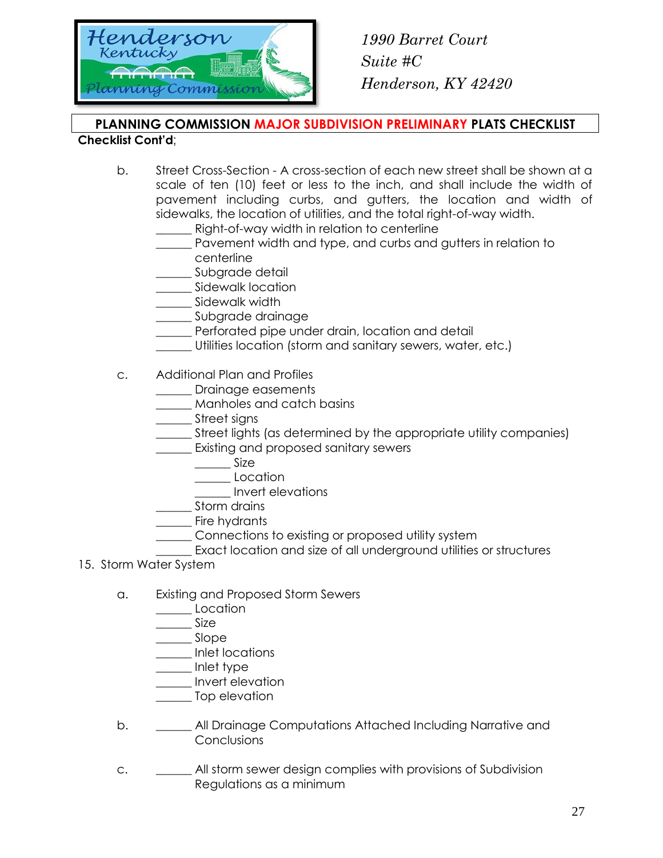

## **PLANNING COMMISSION MAJOR SUBDIVISION PRELIMINARY PLATS CHECKLIST**

#### **Checklist Cont'd**;

- b. Street Cross-Section A cross-section of each new street shall be shown at a scale of ten (10) feet or less to the inch, and shall include the width of pavement including curbs, and gutters, the location and width of sidewalks, the location of utilities, and the total right-of-way width.
	- Right-of-way width in relation to centerline
	- \_\_\_\_\_\_ Pavement width and type, and curbs and gutters in relation to centerline
	- \_\_\_\_\_ Subgrade detail
	- \_\_\_\_ Sidewalk location
	- \_\_\_\_\_ Sidewalk width
	- \_\_\_\_\_\_ Subgrade drainage
	- **\_\_\_\_\_\_** Perforated pipe under drain, location and detail
	- \_\_\_\_\_\_ Utilities location (storm and sanitary sewers, water, etc.)
- c. Additional Plan and Profiles
	- \_\_\_\_\_\_ Drainage easements
	- \_\_\_\_\_\_ Manholes and catch basins
	- \_\_\_\_\_\_ Street signs
	- \_\_\_\_\_\_ Street lights (as determined by the appropriate utility companies)
	- \_\_\_\_\_\_ Existing and proposed sanitary sewers
		- $\frac{\phantom{0}}{\phantom{0}}$  Size
		- \_\_\_\_\_\_ Location
		- \_\_\_\_\_\_ Invert elevations
	- Storm drains
	- Fire hydrants
		- \_\_\_\_\_\_ Connections to existing or proposed utility system
	- Exact location and size of all underground utilities or structures
- 15. Storm Water System
	- a. Existing and Proposed Storm Sewers
		- Location
		- $\qquad \qquad$  Size
		- \_\_\_\_\_\_ Slope
		- \_\_\_\_\_\_ Inlet locations
		- \_\_\_\_\_\_ Inlet type
		- \_\_\_\_\_\_ Invert elevation
		- \_\_\_\_\_\_ Top elevation
	- b. **\_\_\_\_\_** All Drainage Computations Attached Including Narrative and Conclusions
	- c. \_\_\_\_\_\_ All storm sewer design complies with provisions of Subdivision Regulations as a minimum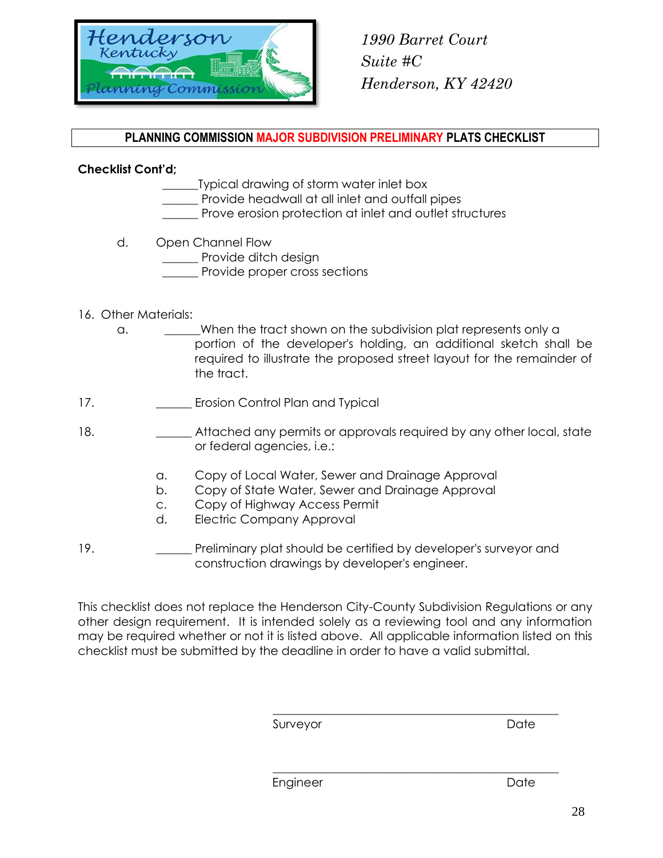

#### **PLANNING COMMISSION MAJOR SUBDIVISION PRELIMINARY PLATS CHECKLIST**

#### **Checklist Cont'd;**

- \_\_\_\_\_\_Typical drawing of storm water inlet box
	- Provide headwall at all inlet and outfall pipes
- Prove erosion protection at inlet and outlet structures
- d. Open Channel Flow
	- Provide ditch desian
	- Provide proper cross sections

#### 16. Other Materials:

- a.  $\blacksquare$  When the tract shown on the subdivision plat represents only a portion of the developer's holding, an additional sketch shall be required to illustrate the proposed street layout for the remainder of the tract.
- 17. **\_\_\_\_\_\_** Erosion Control Plan and Typical
- 18. **\_\_\_\_\_\_** Attached any permits or approvals required by any other local, state or federal agencies, i.e.:
	- a. Copy of Local Water, Sewer and Drainage Approval
	- b. Copy of State Water, Sewer and Drainage Approval
	- c. Copy of Highway Access Permit
	- d. Electric Company Approval
- 19. **Example 19.** Preliminary plat should be certified by developer's surveyor and construction drawings by developer's engineer.

This checklist does not replace the Henderson City-County Subdivision Regulations or any other design requirement. It is intended solely as a reviewing tool and any information may be required whether or not it is listed above. All applicable information listed on this checklist must be submitted by the deadline in order to have a valid submittal.

\_\_\_\_\_\_\_\_\_\_\_\_\_\_\_\_\_\_\_\_\_\_\_\_\_\_\_\_\_\_\_\_\_\_\_\_\_\_\_\_\_\_\_\_\_\_\_\_

\_\_\_\_\_\_\_\_\_\_\_\_\_\_\_\_\_\_\_\_\_\_\_\_\_\_\_\_\_\_\_\_\_\_\_\_\_\_\_\_\_\_\_\_\_\_\_\_ Surveyor **Date** 

Engineer Date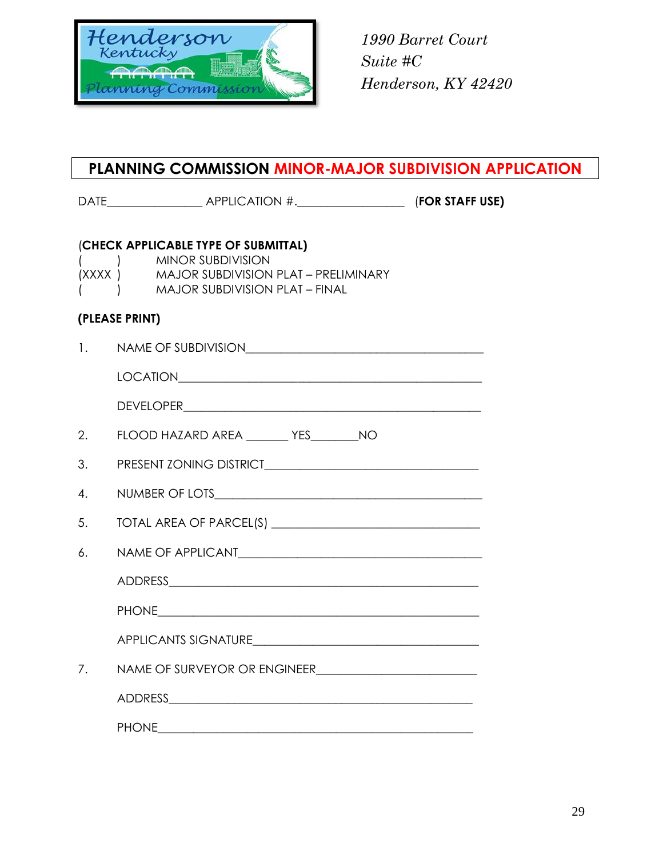

### **PLANNING COMMISSION MINOR-MAJOR SUBDIVISION APPLICATION**

DATE\_\_\_\_\_\_\_\_\_\_\_\_\_\_\_\_ APPLICATION #.\_\_\_\_\_\_\_\_\_\_\_\_\_\_\_\_\_\_ (**FOR STAFF USE)**

#### (**CHECK APPLICABLE TYPE OF SUBMITTAL)**

- ( ) MINOR SUBDIVISION (XXXX ) MAJOR SUBDIVISION PLAT – PRELIMINARY
- ( ) MAJOR SUBDIVISION PLAT FINAL

#### **(PLEASE PRINT)**

| NAME OF SUBDIVISION |
|---------------------|
|                     |

LOCATION\_\_\_\_\_\_\_\_\_\_\_\_\_\_\_\_\_\_\_\_\_\_\_\_\_\_\_\_\_\_\_\_\_\_\_\_\_\_\_\_\_\_\_\_\_\_\_\_\_\_\_

| <b>DEVELOPER</b> |
|------------------|
|------------------|

2. FLOOD HAZARD AREA TES NO

- 3. PRESENT ZONING DISTRICT\_\_\_\_\_\_\_\_\_\_\_\_\_\_\_\_\_\_\_\_\_\_\_\_\_\_\_\_\_\_\_\_\_\_\_\_
- 4. NUMBER OF LOTS
- 5. TOTAL AREA OF PARCEL(S) \_\_\_\_\_\_\_\_\_\_\_\_\_\_\_\_\_\_\_\_\_\_\_\_\_\_\_\_\_\_\_\_\_\_\_
- 6. NAME OF APPLICANT\_\_\_\_\_\_\_\_\_\_\_\_\_\_\_\_\_\_\_\_\_\_\_\_\_\_\_\_\_\_\_\_\_\_\_\_\_\_\_\_\_

| A DDDECC<br>חו<br>110011200 |  |  |  |
|-----------------------------|--|--|--|
|                             |  |  |  |

PHONE\_\_\_\_\_\_\_\_\_\_\_\_\_\_\_\_\_\_\_\_\_\_\_\_\_\_\_\_\_\_\_\_\_\_\_\_\_\_\_\_\_\_\_\_\_\_\_\_\_\_\_\_\_\_

APPLICANTS SIGNATURE\_\_\_\_\_\_\_\_\_\_\_\_\_\_\_\_\_\_\_\_\_\_\_\_\_\_\_\_\_\_\_\_\_\_\_\_\_\_

7. NAME OF SURVEYOR OR ENGINEER\_\_\_\_\_\_\_\_\_\_\_\_\_\_\_\_\_\_\_\_\_\_\_\_\_\_\_

ADDRESS\_\_\_\_\_\_\_\_\_\_\_\_\_\_\_\_\_\_\_\_\_\_\_\_\_\_\_\_\_\_\_\_\_\_\_\_\_\_\_\_\_\_\_\_\_\_\_\_\_\_\_

PHONE **The set of the set of the set of the set of the set of the set of the set of the set of the set of the set of the set of the set of the set of the set of the set of the set of the set of the set of the set of the se**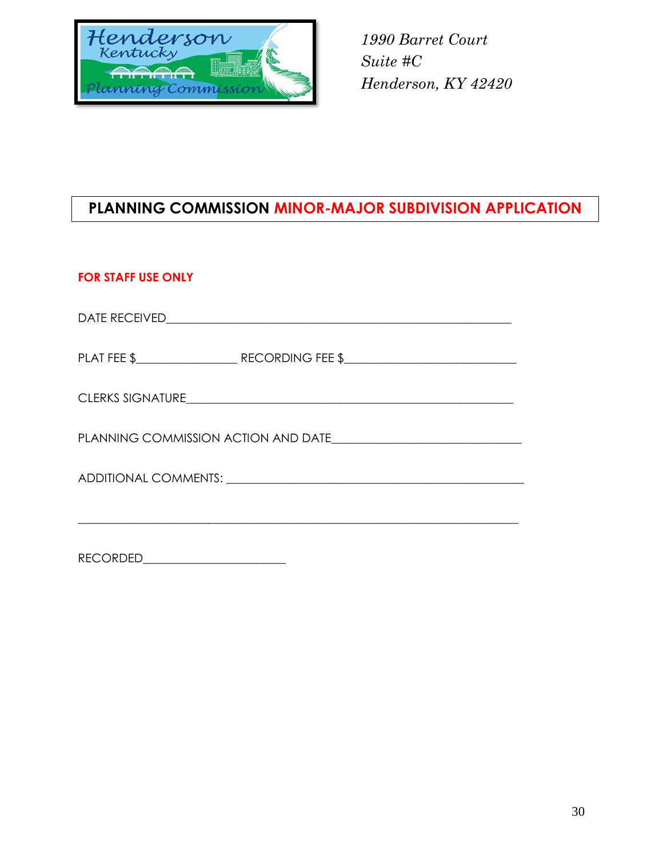

### **PLANNING COMMISSION MINOR-MAJOR SUBDIVISION APPLICATION**

#### **FOR STAFF USE ONLY**

| PLANNING COMMISSION ACTION AND DATE |  |  |  |
|-------------------------------------|--|--|--|
|                                     |  |  |  |
|                                     |  |  |  |

RECORDED\_\_\_\_\_\_\_\_\_\_\_\_\_\_\_\_\_\_\_\_\_\_\_\_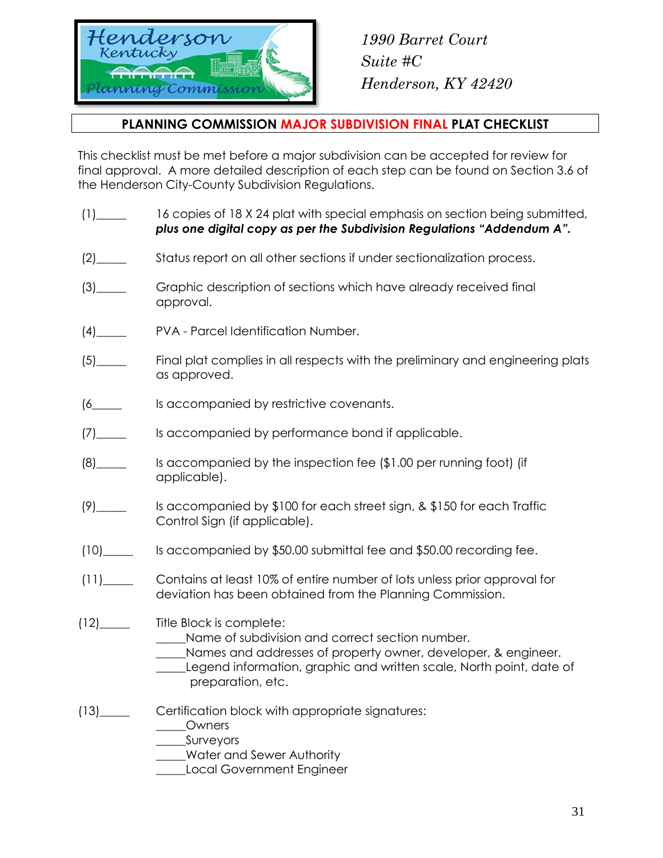

#### **PLANNING COMMISSION MAJOR SUBDIVISION FINAL PLAT CHECKLIST**

This checklist must be met before a major subdivision can be accepted for review for final approval. A more detailed description of each step can be found on Section 3.6 of the Henderson City-County Subdivision Regulations.

- (1)\_\_\_\_\_ 16 copies of 18 X 24 plat with special emphasis on section being submitted, *plus one digital copy as per the Subdivision Regulations "Addendum A".*
- (2)\_\_\_\_\_ Status report on all other sections if under sectionalization process.
- (3)\_\_\_\_\_ Graphic description of sections which have already received final approval.
- (4)\_\_\_\_\_ PVA Parcel Identification Number.
- (5)\_\_\_\_\_ Final plat complies in all respects with the preliminary and engineering plats as approved.
- (6\_\_\_\_\_ Is accompanied by restrictive covenants.
- (7)\_\_\_\_\_ Is accompanied by performance bond if applicable.
- (8)\_\_\_\_\_ Is accompanied by the inspection fee (\$1.00 per running foot) (if applicable).
- (9)\_\_\_\_\_ Is accompanied by \$100 for each street sign, & \$150 for each Traffic Control Sign (if applicable).
- (10)\_\_\_\_\_ Is accompanied by \$50.00 submittal fee and \$50.00 recording fee.
- (11)\_\_\_\_\_ Contains at least 10% of entire number of lots unless prior approval for deviation has been obtained from the Planning Commission.
- (12)\_\_\_\_\_ Title Block is complete:
	- \_\_\_\_\_Name of subdivision and correct section number.
	- Names and addresses of property owner, developer, & engineer.
		- Legend information, graphic and written scale, North point, date of preparation, etc.
- (13)\_\_\_\_\_ Certification block with appropriate signatures:
	- \_\_\_\_\_Owners
		- \_\_\_\_\_Surveyors
		- Water and Sewer Authority
		- \_\_\_\_\_Local Government Engineer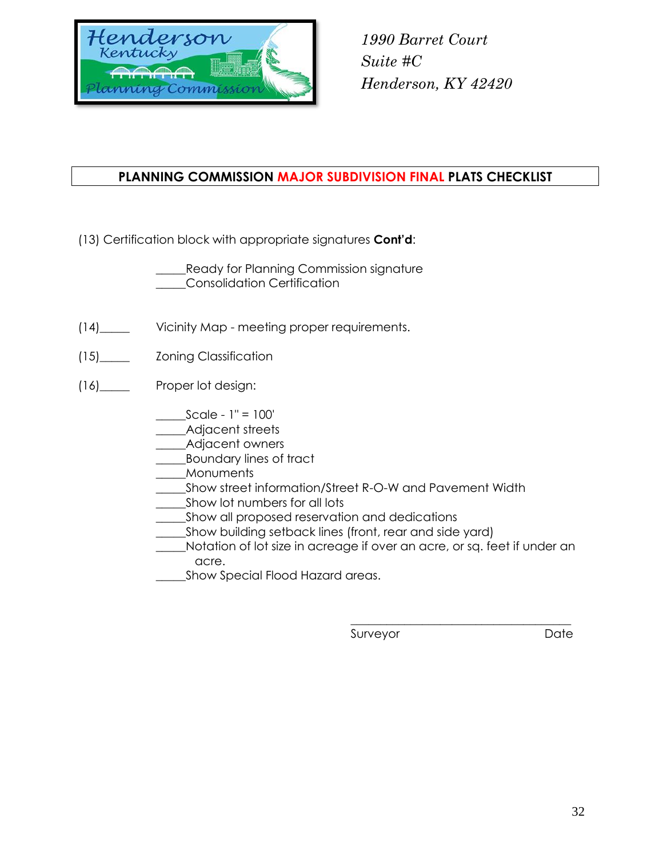

### **PLANNING COMMISSION MAJOR SUBDIVISION FINAL PLATS CHECKLIST**

(13) Certification block with appropriate signatures **Cont'd**:

\_\_\_\_\_Ready for Planning Commission signature \_\_\_\_\_Consolidation Certification

- (14)\_\_\_\_\_ Vicinity Map meeting proper requirements.
- (15)\_\_\_\_\_ Zoning Classification
- (16)\_\_\_\_\_ Proper lot design:
	- \_\_\_\_\_Scale 1" = 100'
	- \_\_\_\_\_Adjacent streets
	- \_\_\_\_\_Adjacent owners
	- \_\_\_\_\_Boundary lines of tract
	- \_\_\_\_\_Monuments
	- Show street information/Street R-O-W and Pavement Width
	- Show lot numbers for all lots
	- \_\_\_\_\_Show all proposed reservation and dedications
	- \_Show building setback lines (front, rear and side yard)
	- \_\_\_\_\_Notation of lot size in acreage if over an acre, or sq. feet if under an acre.
	- \_\_\_\_\_Show Special Flood Hazard areas.

Surveyor Date

\_\_\_\_\_\_\_\_\_\_\_\_\_\_\_\_\_\_\_\_\_\_\_\_\_\_\_\_\_\_\_\_\_\_\_\_\_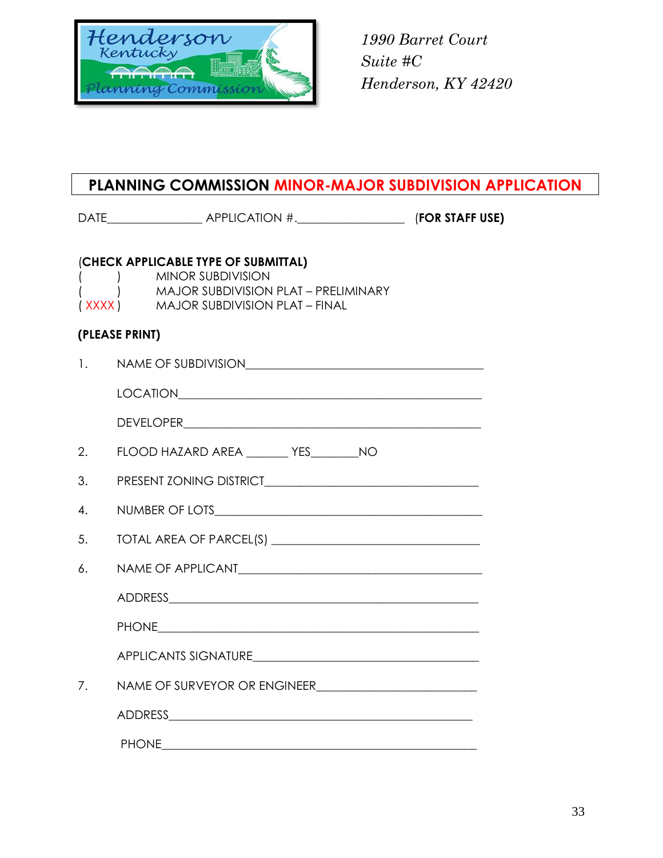

### **PLANNING COMMISSION MINOR-MAJOR SUBDIVISION APPLICATION**

|    | (CHECK APPLICABLE TYPE OF SUBMITTAL)<br><b>MINOR SUBDIVISION</b><br>) MAJOR SUBDIVISION PLAT - PRELIMINARY<br>(XXXX) MAJOR SUBDIVISION PLAT - FINAL |  |
|----|-----------------------------------------------------------------------------------------------------------------------------------------------------|--|
|    | (PLEASE PRINT)                                                                                                                                      |  |
| 1. | NAME OF SUBDIVISION                                                                                                                                 |  |
|    | LOCATION <b>Example 2018</b>                                                                                                                        |  |
|    |                                                                                                                                                     |  |
| 2. | FLOOD HAZARD AREA ________ YES_________ NO                                                                                                          |  |
| 3. |                                                                                                                                                     |  |
| 4. |                                                                                                                                                     |  |
| 5. |                                                                                                                                                     |  |
| 6. |                                                                                                                                                     |  |
|    |                                                                                                                                                     |  |
|    |                                                                                                                                                     |  |
|    |                                                                                                                                                     |  |
| 7. |                                                                                                                                                     |  |
|    |                                                                                                                                                     |  |
|    |                                                                                                                                                     |  |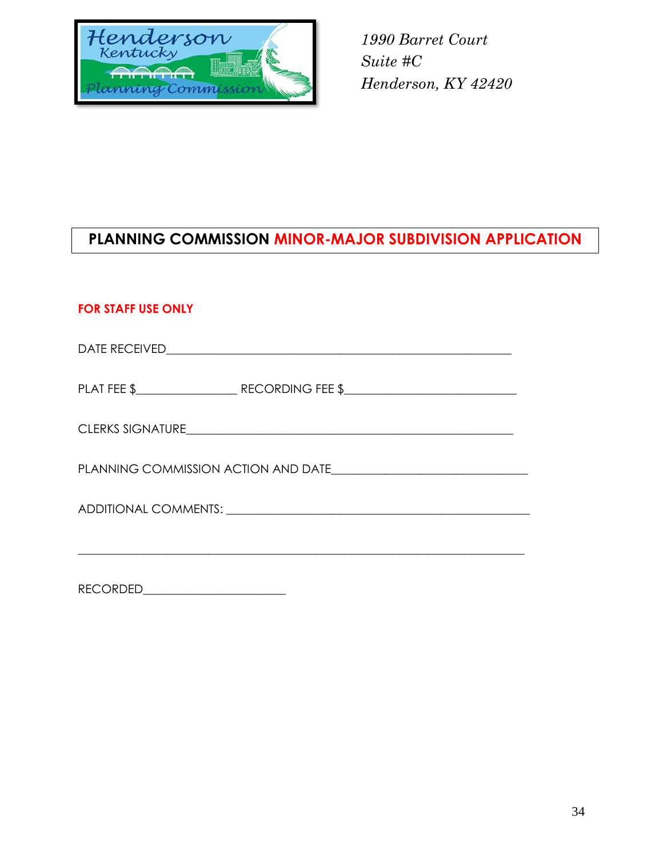

## **PLANNING COMMISSION MINOR-MAJOR SUBDIVISION APPLICATION**

### **FOR STAFF USE ONLY**

|  | PLAT FEE \$___________________________RECORDING FEE \$____________________________ |  |  |
|--|------------------------------------------------------------------------------------|--|--|
|  |                                                                                    |  |  |
|  |                                                                                    |  |  |
|  |                                                                                    |  |  |
|  |                                                                                    |  |  |

RECORDED\_\_\_\_\_\_\_\_\_\_\_\_\_\_\_\_\_\_\_\_\_\_\_\_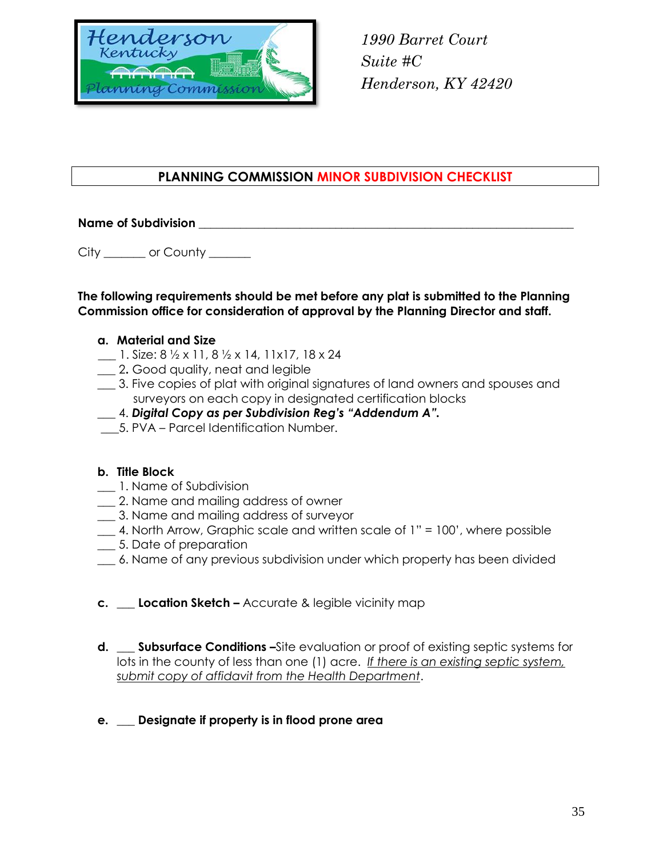

#### **PLANNING COMMISSION MINOR SUBDIVISION CHECKLIST**

#### **Name of Subdivision with a straight of Subdivision**

City \_\_\_\_\_\_\_ or County \_\_\_\_\_\_

#### **The following requirements should be met before any plat is submitted to the Planning Commission office for consideration of approval by the Planning Director and staff.**

#### **a. Material and Size**

- **\_\_\_** 1. Size: 8 ½ x 11, 8 ½ x 14, 11x17, 18 x 24
- \_\_\_ 2**.** Good quality, neat and legible
- \_\_\_ 3. Five copies of plat with original signatures of land owners and spouses and surveyors on each copy in designated certification blocks
- \_\_\_ 4. *Digital Copy as per Subdivision Reg's "Addendum A".*
- \_\_\_5. PVA Parcel Identification Number.

#### **b. Title Block**

- **\_\_\_** 1. Name of Subdivision
- **\_\_\_** 2. Name and mailing address of owner
- **\_\_\_** 3. Name and mailing address of surveyor
- **\_\_\_** 4. North Arrow, Graphic scale and written scale of 1" = 100', where possible
- **\_\_\_** 5. Date of preparation
- **\_\_\_** 6. Name of any previous subdivision under which property has been divided
- **c. \_\_\_ Location Sketch –** Accurate & legible vicinity map
- **d. \_\_\_ Subsurface Conditions –**Site evaluation or proof of existing septic systems for lots in the county of less than one (1) acre. *If there is an existing septic system, submit copy of affidavit from the Health Department*.

#### **e.** \_\_\_ **Designate if property is in flood prone area**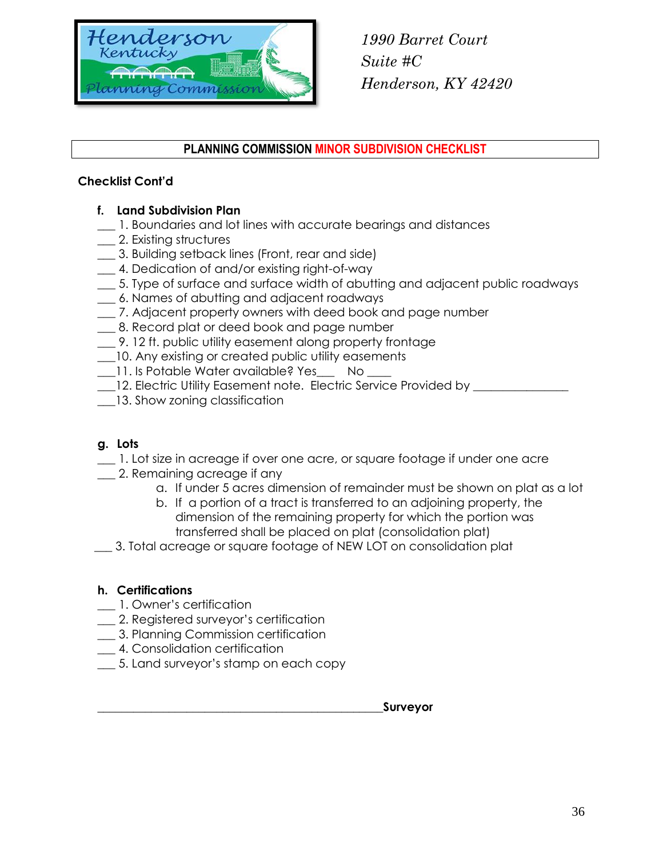

#### **PLANNING COMMISSION MINOR SUBDIVISION CHECKLIST**

#### **Checklist Cont'd**

- **f. Land Subdivision Plan**
- 1. Boundaries and lot lines with accurate bearings and distances
- \_\_\_ 2. Existing structures
- \_\_\_ 3. Building setback lines (Front, rear and side)
- 4. Dedication of and/or existing right-of-way
- \_\_\_ 5. Type of surface and surface width of abutting and adjacent public roadways
- \_\_\_ 6. Names of abutting and adjacent roadways
- \_\_\_ 7. Adjacent property owners with deed book and page number
- 8. Record plat or deed book and page number
- \_\_\_ 9. 12 ft. public utility easement along property frontage
- \_\_\_10. Any existing or created public utility easements
- 11. Is Potable Water available? Yes \_\_\_ No \_\_\_
- \_\_\_12. Electric Utility Easement note. Electric Service Provided by \_\_\_\_\_\_\_\_\_\_\_\_\_\_\_\_
- 13. Show zoning classification

#### **g. Lots**

- \_\_\_ 1. Lot size in acreage if over one acre, or square footage if under one acre
- \_\_\_ 2. Remaining acreage if any
	- a. If under 5 acres dimension of remainder must be shown on plat as a lot
	- b. If a portion of a tract is transferred to an adjoining property, the dimension of the remaining property for which the portion was transferred shall be placed on plat (consolidation plat)
- \_\_\_ 3. Total acreage or square footage of NEW LOT on consolidation plat

#### **h. Certifications**

- **\_\_\_** 1. Owner's certification
- **\_\_\_** 2. Registered surveyor's certification
- **\_\_\_** 3. Planning Commission certification
- \_\_\_ 4. Consolidation certification
- \_\_\_ 5. Land surveyor's stamp on each copy

**\_\_\_\_\_\_\_\_\_\_\_\_\_\_\_\_\_\_\_\_\_\_\_\_\_\_\_\_\_\_\_\_\_\_\_\_\_\_\_\_\_\_\_\_\_\_\_\_Surveyor**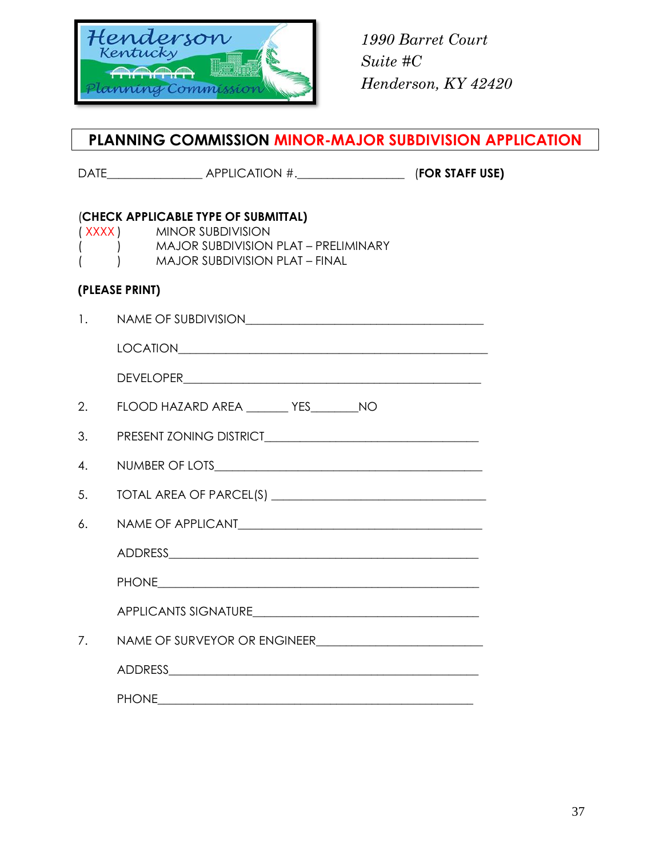

### **PLANNING COMMISSION MINOR-MAJOR SUBDIVISION APPLICATION**

DATE\_\_\_\_\_\_\_\_\_\_\_\_\_\_\_\_ APPLICATION #.\_\_\_\_\_\_\_\_\_\_\_\_\_\_\_\_\_\_ (**FOR STAFF USE)**

### (**CHECK APPLICABLE TYPE OF SUBMITTAL)**

( XXXX ) MINOR SUBDIVISION

- ( ) MAJOR SUBDIVISION PLAT PRELIMINARY
- ( ) MAJOR SUBDIVISION PLAT FINAL

#### **(PLEASE PRINT)**

| $\mathbf{1}$ . | NAME OF SUBDIVISION                            |  |  |
|----------------|------------------------------------------------|--|--|
|                |                                                |  |  |
|                |                                                |  |  |
| 2.             | FLOOD HAZARD AREA __________ YES___________ NO |  |  |
| 3.             |                                                |  |  |
| 4.             |                                                |  |  |
| 5.             |                                                |  |  |
| 6.             |                                                |  |  |
|                |                                                |  |  |
|                |                                                |  |  |
|                |                                                |  |  |
| 7.             |                                                |  |  |
|                |                                                |  |  |
|                |                                                |  |  |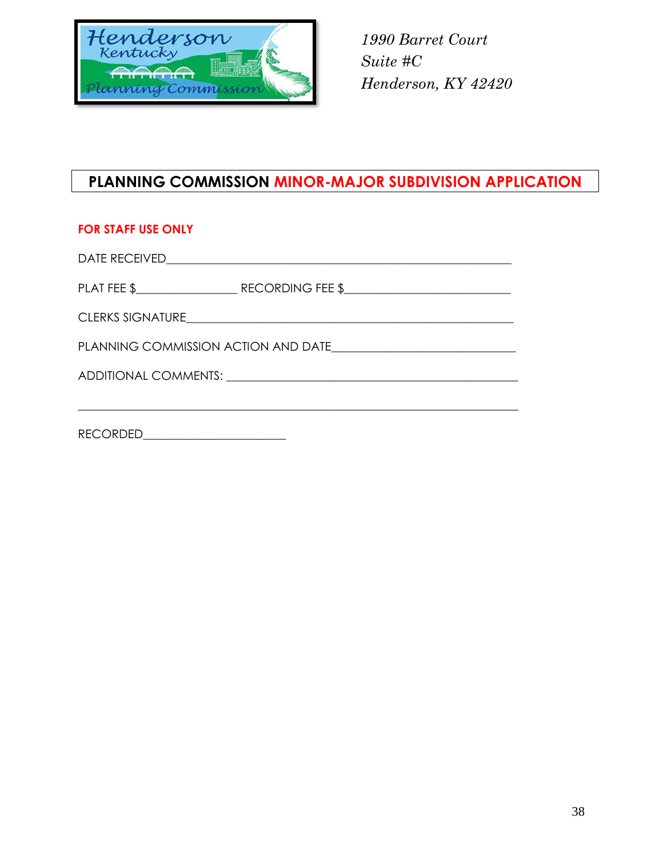

### **PLANNING COMMISSION MINOR-MAJOR SUBDIVISION APPLICATION**

#### **FOR STAFF USE ONLY**

DATE RECEIVED\_\_\_\_\_\_\_\_\_\_\_\_\_\_\_\_\_\_\_\_\_\_\_\_\_\_\_\_\_\_\_\_\_\_\_\_\_\_\_\_\_\_\_\_\_\_\_\_\_\_\_\_\_\_\_\_\_\_

PLAT FEE \$\_\_\_\_\_\_\_\_\_\_\_\_\_\_\_\_\_ RECORDING FEE \$\_\_\_\_\_\_\_\_\_\_\_\_\_\_\_\_\_\_\_\_\_\_\_\_\_\_\_\_

\_\_\_\_\_\_\_\_\_\_\_\_\_\_\_\_\_\_\_\_\_\_\_\_\_\_\_\_\_\_\_\_\_\_\_\_\_\_\_\_\_\_\_\_\_\_\_\_\_\_\_\_\_\_\_\_\_\_\_\_\_\_\_\_\_\_\_\_\_\_\_\_\_\_

CLERKS SIGNATURE\_\_\_\_\_\_\_\_\_\_\_\_\_\_\_\_\_\_\_\_\_\_\_\_\_\_\_\_\_\_\_\_\_\_\_\_\_\_\_\_\_\_\_\_\_\_\_\_\_\_\_\_\_\_\_

PLANNING COMMISSION ACTION AND DATE\_\_\_\_\_\_\_\_\_\_\_\_\_\_\_\_\_\_\_\_\_\_\_\_\_\_\_\_\_\_\_

ADDITIONAL COMMENTS: \_\_\_\_\_\_\_\_\_\_\_\_\_\_\_\_\_\_\_\_\_\_\_\_\_\_\_\_\_\_\_\_\_\_\_\_\_\_\_\_\_\_\_\_\_\_\_\_\_

RECORDED\_\_\_\_\_\_\_\_\_\_\_\_\_\_\_\_\_\_\_\_\_\_\_\_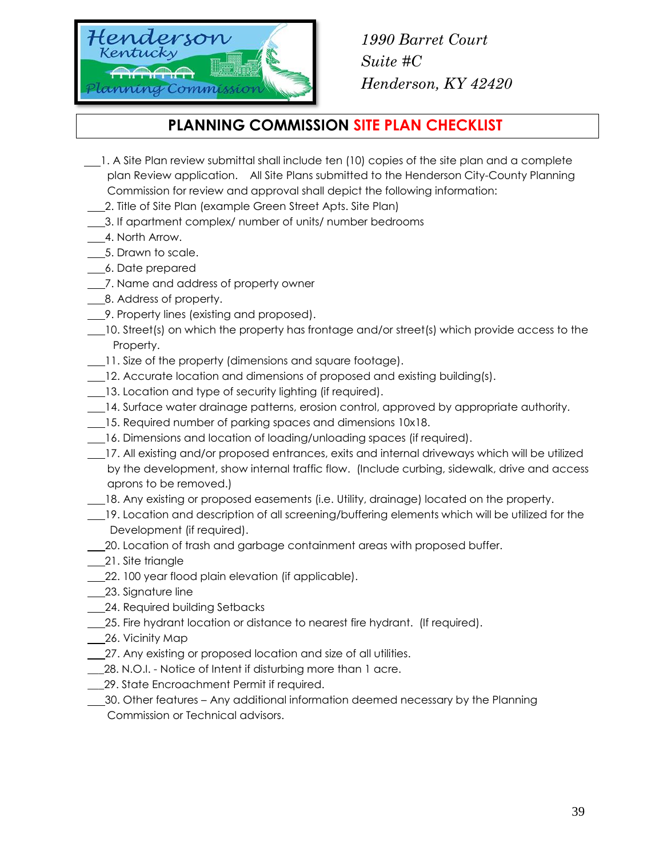

### **PLANNING COMMISSION SITE PLAN CHECKLIST**

- 1. A Site Plan review submittal shall include ten (10) copies of the site plan and a complete plan Review application. All Site Plans submitted to the Henderson City-County Planning Commission for review and approval shall depict the following information:
- 2. Title of Site Plan (example Green Street Apts. Site Plan)
- 3. If apartment complex/ number of units/ number bedrooms
- 4. North Arrow.
- 5. Drawn to scale.
- 6. Date prepared
- 1. Name and address of property owner
- 8. Address of property.
- 9. Property lines (existing and proposed).
- 10. Street(s) on which the property has frontage and/or street(s) which provide access to the Property.
- 11. Size of the property (dimensions and square footage).
- 12. Accurate location and dimensions of proposed and existing building(s).
- 13. Location and type of security lighting (if required).
- 14. Surface water drainage patterns, erosion control, approved by appropriate authority.
- 15. Required number of parking spaces and dimensions 10x18.
- 16. Dimensions and location of loading/unloading spaces (if required).
- 17. All existing and/or proposed entrances, exits and internal driveways which will be utilized by the development, show internal traffic flow. (Include curbing, sidewalk, drive and access aprons to be removed.)
- 18. Any existing or proposed easements (i.e. Utility, drainage) located on the property.
- 19. Location and description of all screening/buffering elements which will be utilized for the Development (if required).
- 20. Location of trash and garbage containment areas with proposed buffer.
- 21. Site triangle
- 22. 100 year flood plain elevation (if applicable).
- 23. Signature line
- 24. Required building Setbacks
- 25. Fire hydrant location or distance to nearest fire hydrant. (If required).
- 26. Vicinity Map
- 27. Any existing or proposed location and size of all utilities.
- 28. N.O.I. Notice of Intent if disturbing more than 1 acre.
- \_\_\_29. State Encroachment Permit if required.
- 30. Other features Any additional information deemed necessary by the Planning Commission or Technical advisors.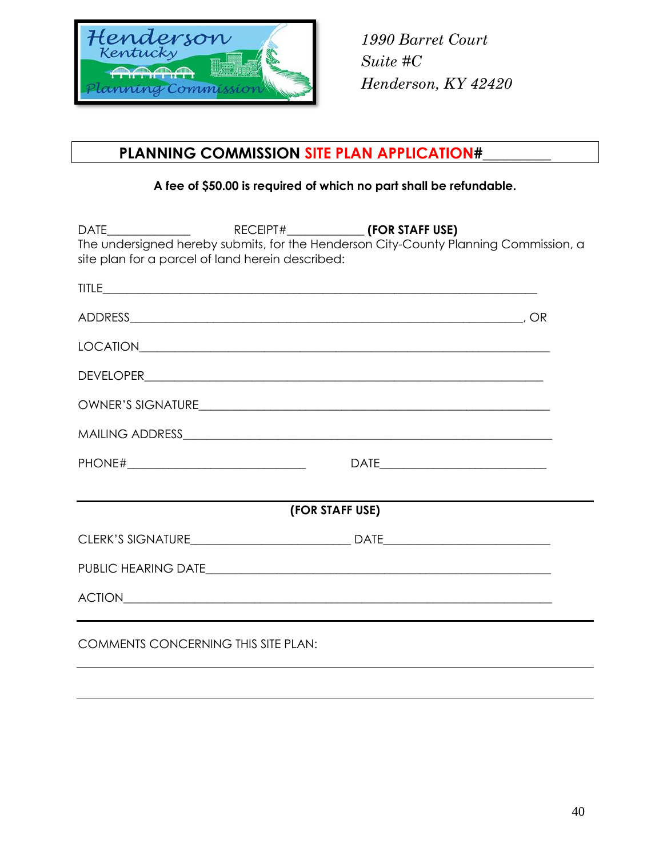

### **PLANNING COMMISSION SITE PLAN APPLICATION#\_\_\_\_\_\_\_\_\_**

#### **A fee of \$50.00 is required of which no part shall be refundable.**

|                                                  |                 | The undersigned hereby submits, for the Henderson City-County Planning Commission, a |
|--------------------------------------------------|-----------------|--------------------------------------------------------------------------------------|
| site plan for a parcel of land herein described: |                 |                                                                                      |
|                                                  |                 |                                                                                      |
|                                                  |                 |                                                                                      |
|                                                  |                 |                                                                                      |
|                                                  |                 |                                                                                      |
|                                                  |                 |                                                                                      |
|                                                  |                 |                                                                                      |
|                                                  |                 |                                                                                      |
|                                                  |                 |                                                                                      |
|                                                  | (FOR STAFF USE) |                                                                                      |
|                                                  |                 |                                                                                      |
|                                                  |                 |                                                                                      |
|                                                  |                 |                                                                                      |
| <b>COMMENTS CONCERNING THIS SITE PLAN:</b>       |                 |                                                                                      |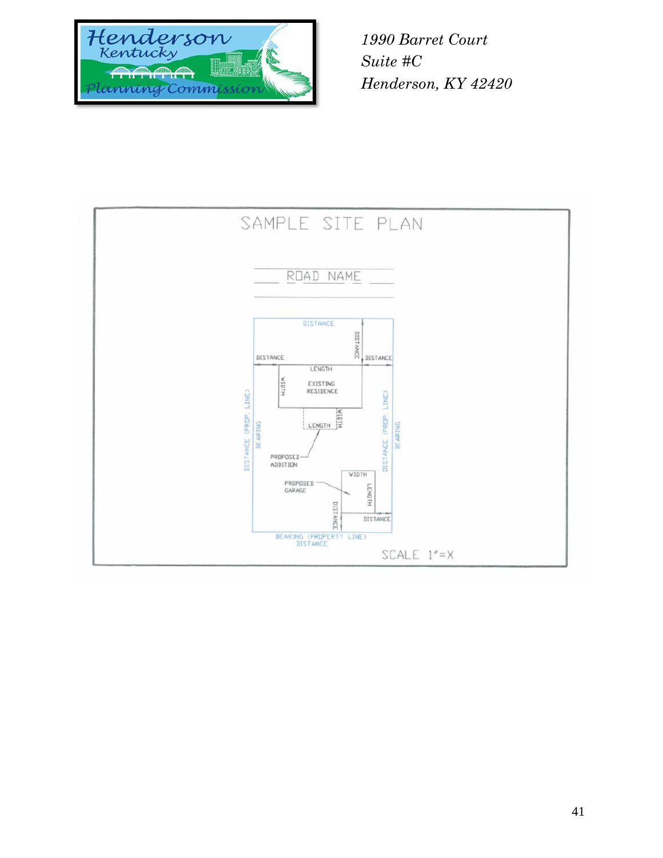